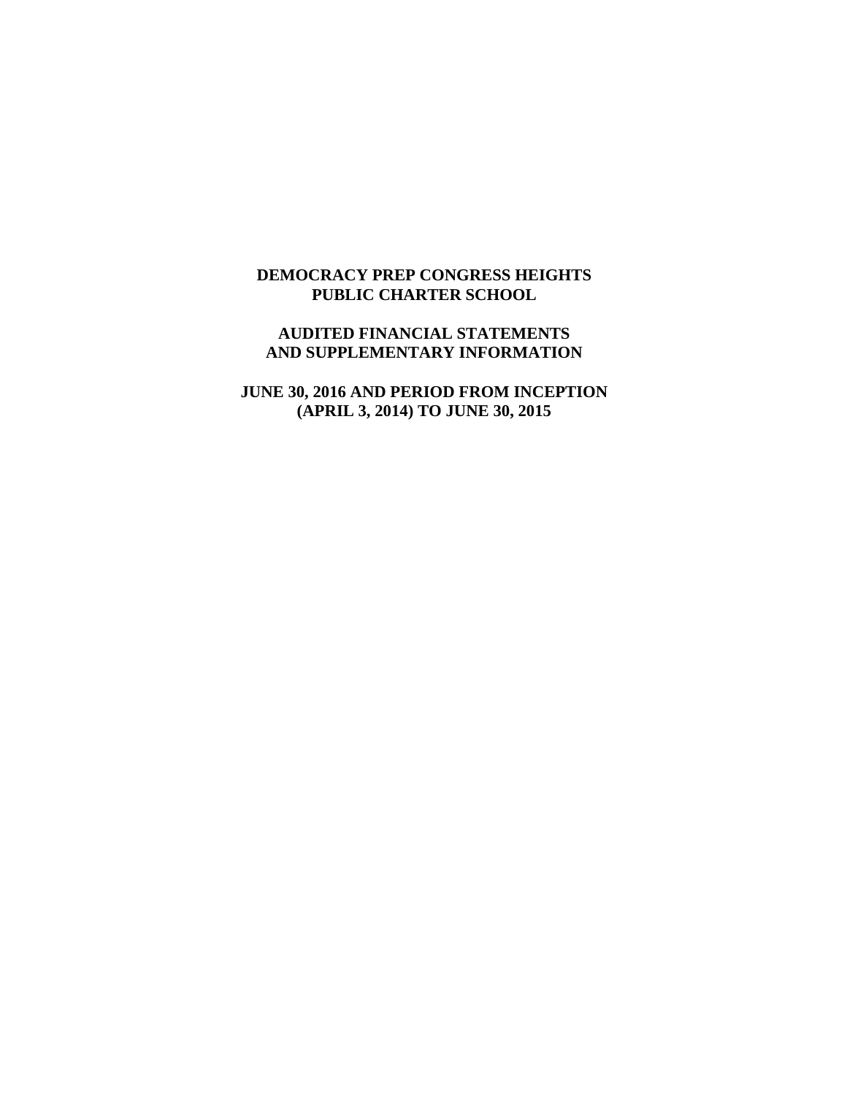## **DEMOCRACY PREP CONGRESS HEIGHTS PUBLIC CHARTER SCHOOL**

## **AUDITED FINANCIAL STATEMENTS AND SUPPLEMENTARY INFORMATION**

**JUNE 30, 2016 AND PERIOD FROM INCEPTION (APRIL 3, 2014) TO JUNE 30, 2015**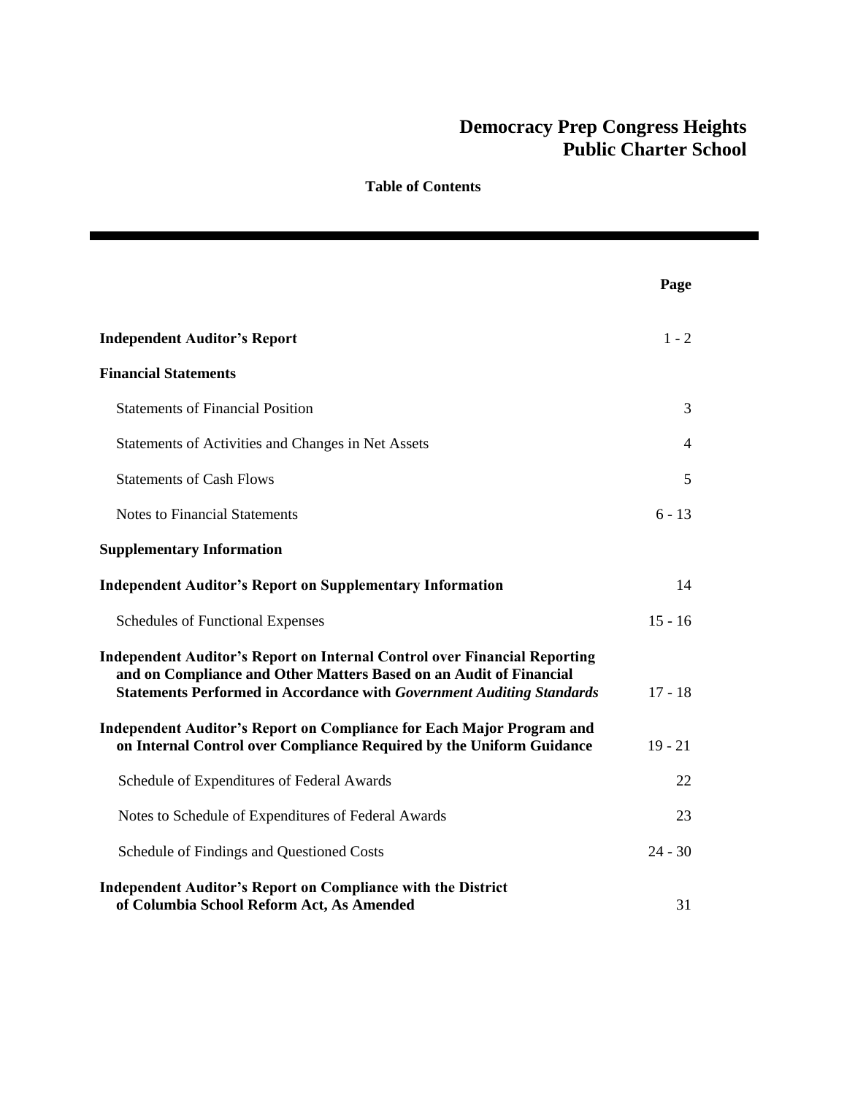|                                                                                                                                                                                                                                        | Page      |
|----------------------------------------------------------------------------------------------------------------------------------------------------------------------------------------------------------------------------------------|-----------|
| <b>Independent Auditor's Report</b>                                                                                                                                                                                                    | $1 - 2$   |
| <b>Financial Statements</b>                                                                                                                                                                                                            |           |
| <b>Statements of Financial Position</b>                                                                                                                                                                                                | 3         |
| Statements of Activities and Changes in Net Assets                                                                                                                                                                                     | 4         |
| <b>Statements of Cash Flows</b>                                                                                                                                                                                                        | 5         |
| <b>Notes to Financial Statements</b>                                                                                                                                                                                                   | $6 - 13$  |
| <b>Supplementary Information</b>                                                                                                                                                                                                       |           |
| <b>Independent Auditor's Report on Supplementary Information</b>                                                                                                                                                                       | 14        |
| Schedules of Functional Expenses                                                                                                                                                                                                       | $15 - 16$ |
| <b>Independent Auditor's Report on Internal Control over Financial Reporting</b><br>and on Compliance and Other Matters Based on an Audit of Financial<br><b>Statements Performed in Accordance with Government Auditing Standards</b> | $17 - 18$ |
| Independent Auditor's Report on Compliance for Each Major Program and<br>on Internal Control over Compliance Required by the Uniform Guidance                                                                                          | $19 - 21$ |
| Schedule of Expenditures of Federal Awards                                                                                                                                                                                             | 22        |
| Notes to Schedule of Expenditures of Federal Awards                                                                                                                                                                                    | 23        |
| Schedule of Findings and Questioned Costs                                                                                                                                                                                              | $24 - 30$ |
| <b>Independent Auditor's Report on Compliance with the District</b><br>of Columbia School Reform Act, As Amended                                                                                                                       | 31        |

**Table of Contents**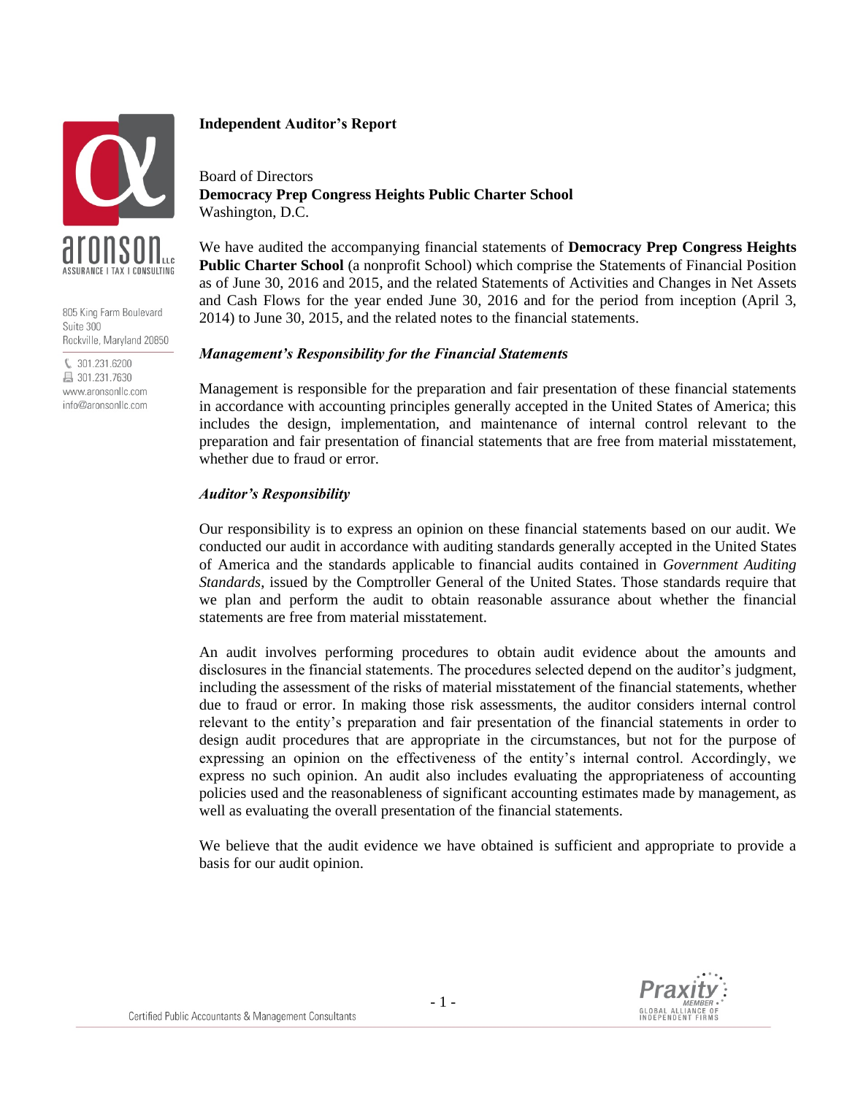

805 King Farm Boulevard Suite 300 Rockville, Maryland 20850

€ 301.231.6200 昌 301.231.7630 www.aronsonllc.com info@aronsonllc.com

### **Independent Auditor's Report**

Board of Directors **Democracy Prep Congress Heights Public Charter School**  Washington, D.C.

We have audited the accompanying financial statements of **Democracy Prep Congress Heights Public Charter School** (a nonprofit School) which comprise the Statements of Financial Position as of June 30, 2016 and 2015, and the related Statements of Activities and Changes in Net Assets and Cash Flows for the year ended June 30, 2016 and for the period from inception (April 3, 2014) to June 30, 2015, and the related notes to the financial statements.

### *Management's Responsibility for the Financial Statements*

Management is responsible for the preparation and fair presentation of these financial statements in accordance with accounting principles generally accepted in the United States of America; this includes the design, implementation, and maintenance of internal control relevant to the preparation and fair presentation of financial statements that are free from material misstatement, whether due to fraud or error.

## *Auditor's Responsibility*

Our responsibility is to express an opinion on these financial statements based on our audit. We conducted our audit in accordance with auditing standards generally accepted in the United States of America and the standards applicable to financial audits contained in *Government Auditing Standards*, issued by the Comptroller General of the United States. Those standards require that we plan and perform the audit to obtain reasonable assurance about whether the financial statements are free from material misstatement.

An audit involves performing procedures to obtain audit evidence about the amounts and disclosures in the financial statements. The procedures selected depend on the auditor's judgment, including the assessment of the risks of material misstatement of the financial statements, whether due to fraud or error. In making those risk assessments, the auditor considers internal control relevant to the entity's preparation and fair presentation of the financial statements in order to design audit procedures that are appropriate in the circumstances, but not for the purpose of expressing an opinion on the effectiveness of the entity's internal control. Accordingly, we express no such opinion. An audit also includes evaluating the appropriateness of accounting policies used and the reasonableness of significant accounting estimates made by management, as well as evaluating the overall presentation of the financial statements.

We believe that the audit evidence we have obtained is sufficient and appropriate to provide a basis for our audit opinion.

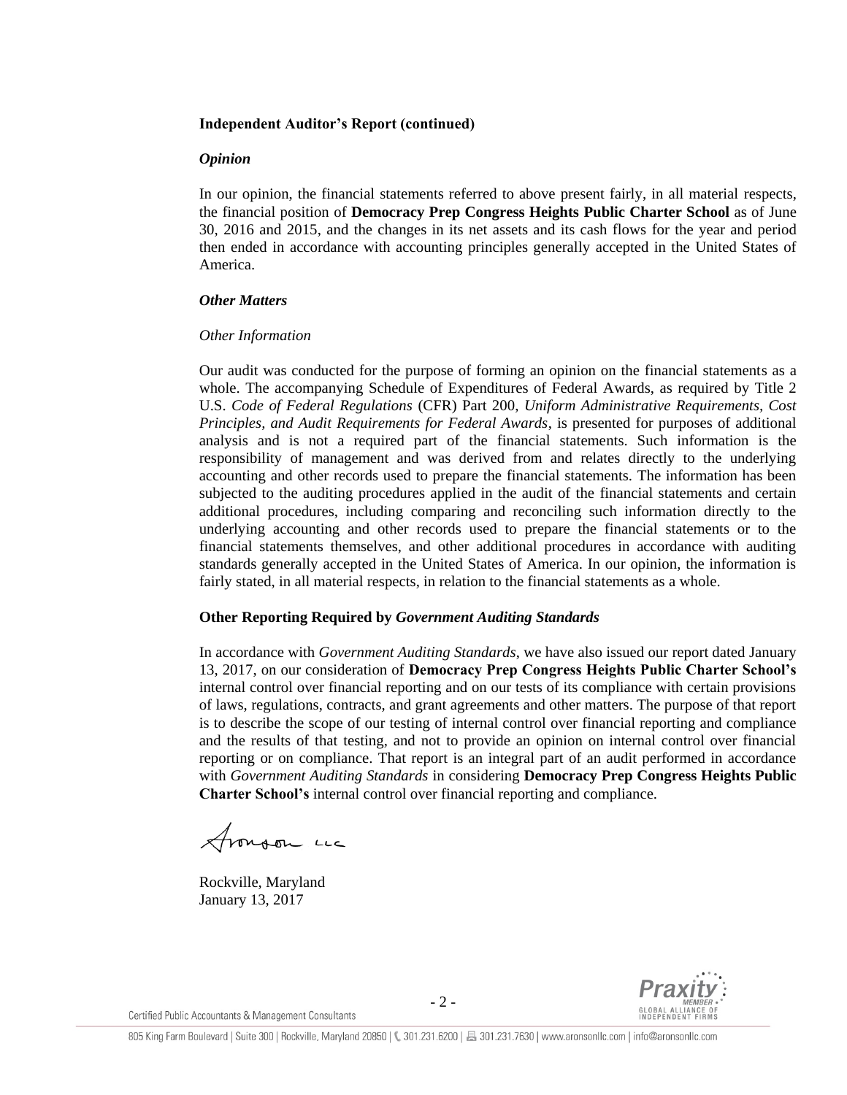#### **Independent Auditor's Report (continued)**

#### *Opinion*

In our opinion, the financial statements referred to above present fairly, in all material respects, the financial position of **Democracy Prep Congress Heights Public Charter School** as of June 30, 2016 and 2015, and the changes in its net assets and its cash flows for the year and period then ended in accordance with accounting principles generally accepted in the United States of America.

### *Other Matters*

### *Other Information*

Our audit was conducted for the purpose of forming an opinion on the financial statements as a whole. The accompanying Schedule of Expenditures of Federal Awards, as required by Title 2 U.S. *Code of Federal Regulations* (CFR) Part 200, *Uniform Administrative Requirements, Cost Principles, and Audit Requirements for Federal Awards*, is presented for purposes of additional analysis and is not a required part of the financial statements. Such information is the responsibility of management and was derived from and relates directly to the underlying accounting and other records used to prepare the financial statements. The information has been subjected to the auditing procedures applied in the audit of the financial statements and certain additional procedures, including comparing and reconciling such information directly to the underlying accounting and other records used to prepare the financial statements or to the financial statements themselves, and other additional procedures in accordance with auditing standards generally accepted in the United States of America. In our opinion, the information is fairly stated, in all material respects, in relation to the financial statements as a whole.

### **Other Reporting Required by** *Government Auditing Standards*

In accordance with *Government Auditing Standards*, we have also issued our report dated January 13, 2017, on our consideration of **Democracy Prep Congress Heights Public Charter School's** internal control over financial reporting and on our tests of its compliance with certain provisions of laws, regulations, contracts, and grant agreements and other matters. The purpose of that report is to describe the scope of our testing of internal control over financial reporting and compliance and the results of that testing, and not to provide an opinion on internal control over financial reporting or on compliance. That report is an integral part of an audit performed in accordance with *Government Auditing Standards* in considering **Democracy Prep Congress Heights Public Charter School's** internal control over financial reporting and compliance.

Aronson un

Rockville, Maryland January 13, 2017

Certified Public Accountants & Management Consultants

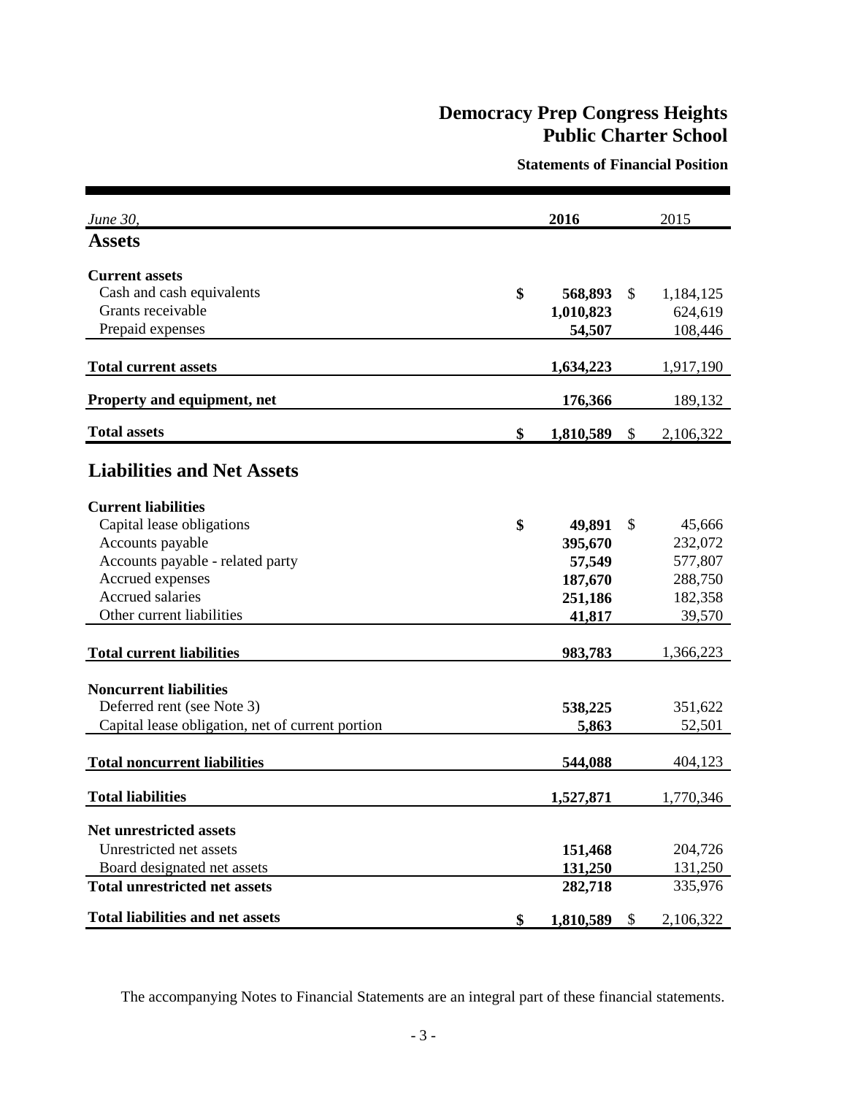**Statements of Financial Position**

| June 30,                                         | 2016            |               | 2015      |
|--------------------------------------------------|-----------------|---------------|-----------|
| <b>Assets</b>                                    |                 |               |           |
| <b>Current assets</b>                            |                 |               |           |
| Cash and cash equivalents                        | \$<br>568,893   | \$            | 1,184,125 |
| Grants receivable                                | 1,010,823       |               | 624,619   |
| Prepaid expenses                                 | 54,507          |               | 108,446   |
| <b>Total current assets</b>                      | 1,634,223       |               | 1,917,190 |
| Property and equipment, net                      | 176,366         |               | 189,132   |
| <b>Total assets</b>                              | \$<br>1,810,589 | \$            | 2,106,322 |
| <b>Liabilities and Net Assets</b>                |                 |               |           |
| <b>Current liabilities</b>                       |                 |               |           |
| Capital lease obligations                        | \$<br>49,891    | \$            | 45,666    |
| Accounts payable                                 | 395,670         |               | 232,072   |
| Accounts payable - related party                 | 57,549          |               | 577,807   |
| Accrued expenses                                 | 187,670         |               | 288,750   |
| Accrued salaries                                 | 251,186         |               | 182,358   |
| Other current liabilities                        | 41,817          |               | 39,570    |
| <b>Total current liabilities</b>                 | 983,783         |               | 1,366,223 |
|                                                  |                 |               |           |
| <b>Noncurrent liabilities</b>                    |                 |               |           |
| Deferred rent (see Note 3)                       | 538,225         |               | 351,622   |
| Capital lease obligation, net of current portion | 5,863           |               | 52,501    |
| <b>Total noncurrent liabilities</b>              | 544,088         |               | 404,123   |
| <b>Total liabilities</b>                         | 1,527,871       |               | 1,770,346 |
| <b>Net unrestricted assets</b>                   |                 |               |           |
| Unrestricted net assets                          | 151,468         |               | 204,726   |
| Board designated net assets                      | 131,250         |               | 131,250   |
| <b>Total unrestricted net assets</b>             | 282,718         |               | 335,976   |
| <b>Total liabilities and net assets</b>          | \$<br>1,810,589 | $\frac{1}{2}$ | 2,106,322 |

The accompanying Notes to Financial Statements are an integral part of these financial statements.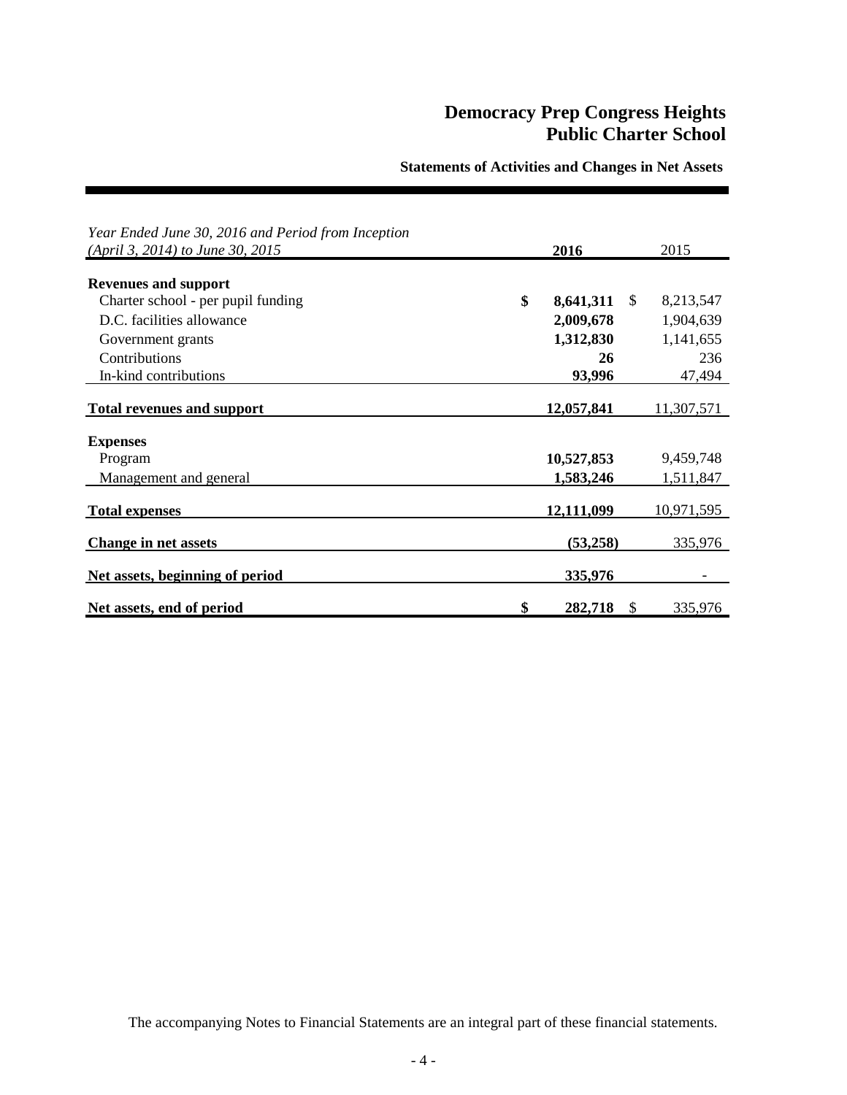| Year Ended June 30, 2016 and Period from Inception<br>(April 3, 2014) to June 30, 2015 | 2016                             | 2015       |
|----------------------------------------------------------------------------------------|----------------------------------|------------|
|                                                                                        |                                  |            |
| <b>Revenues and support</b>                                                            |                                  |            |
| Charter school - per pupil funding                                                     | \$<br>8,641,311<br><sup>\$</sup> | 8,213,547  |
| D.C. facilities allowance                                                              | 2,009,678                        | 1,904,639  |
| Government grants                                                                      | 1,312,830                        | 1,141,655  |
| Contributions                                                                          | 26                               | 236        |
| In-kind contributions                                                                  | 93,996                           | 47,494     |
|                                                                                        |                                  |            |
| <b>Total revenues and support</b>                                                      | 12,057,841                       | 11,307,571 |
|                                                                                        |                                  |            |
| <b>Expenses</b>                                                                        |                                  |            |
| Program                                                                                | 10,527,853                       | 9,459,748  |
| Management and general                                                                 | 1,583,246                        | 1,511,847  |
| <b>Total expenses</b>                                                                  | 12,111,099                       | 10,971,595 |
| <b>Change in net assets</b>                                                            | (53,258)                         | 335,976    |
|                                                                                        |                                  |            |
| Net assets, beginning of period                                                        | 335,976                          |            |
| Net assets, end of period                                                              | \$<br>282,718<br><sup>\$</sup>   | 335,976    |

## **Statements of Activities and Changes in Net Assets**

The accompanying Notes to Financial Statements are an integral part of these financial statements.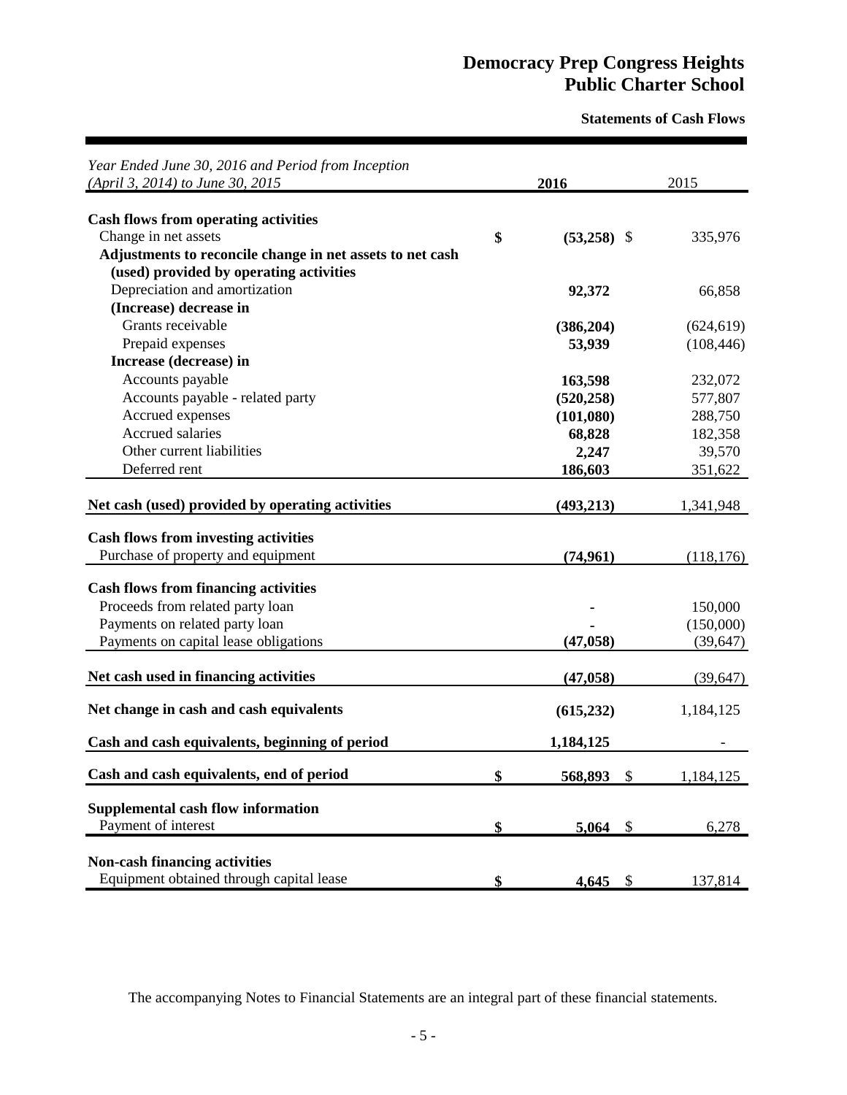**Statements of Cash Flows**

| Year Ended June 30, 2016 and Period from Inception<br>(April 3, 2014) to June 30, 2015               | 2016 |               | 2015       |  |  |
|------------------------------------------------------------------------------------------------------|------|---------------|------------|--|--|
|                                                                                                      |      |               |            |  |  |
| <b>Cash flows from operating activities</b><br>Change in net assets                                  |      |               |            |  |  |
|                                                                                                      | \$   | $(53,258)$ \$ | 335,976    |  |  |
| Adjustments to reconcile change in net assets to net cash<br>(used) provided by operating activities |      |               |            |  |  |
| Depreciation and amortization                                                                        |      |               |            |  |  |
| (Increase) decrease in                                                                               |      | 92,372        | 66,858     |  |  |
| Grants receivable                                                                                    |      |               |            |  |  |
|                                                                                                      |      | (386,204)     | (624, 619) |  |  |
| Prepaid expenses                                                                                     |      | 53,939        | (108, 446) |  |  |
| Increase (decrease) in                                                                               |      |               |            |  |  |
| Accounts payable                                                                                     |      | 163,598       | 232,072    |  |  |
| Accounts payable - related party                                                                     |      | (520, 258)    | 577,807    |  |  |
| Accrued expenses                                                                                     |      | (101,080)     | 288,750    |  |  |
| Accrued salaries                                                                                     |      | 68,828        | 182,358    |  |  |
| Other current liabilities                                                                            |      | 2,247         | 39,570     |  |  |
| Deferred rent                                                                                        |      | 186,603       | 351,622    |  |  |
| Net cash (used) provided by operating activities                                                     |      | (493,213)     | 1,341,948  |  |  |
| <b>Cash flows from investing activities</b>                                                          |      |               |            |  |  |
| Purchase of property and equipment                                                                   |      | (74,961)      | (118, 176) |  |  |
|                                                                                                      |      |               |            |  |  |
| <b>Cash flows from financing activities</b>                                                          |      |               |            |  |  |
| Proceeds from related party loan                                                                     |      |               | 150,000    |  |  |
| Payments on related party loan                                                                       |      |               | (150,000)  |  |  |
| Payments on capital lease obligations                                                                |      | (47, 058)     | (39, 647)  |  |  |
|                                                                                                      |      |               |            |  |  |
| Net cash used in financing activities                                                                |      | (47, 058)     | (39, 647)  |  |  |
| Net change in cash and cash equivalents                                                              |      | (615, 232)    | 1,184,125  |  |  |
| Cash and cash equivalents, beginning of period                                                       |      | 1,184,125     |            |  |  |
| Cash and cash equivalents, end of period                                                             | \$   | \$<br>568,893 | 1,184,125  |  |  |
|                                                                                                      |      |               |            |  |  |
| Supplemental cash flow information                                                                   |      |               |            |  |  |
| Payment of interest                                                                                  | \$   | $5,064$ \$    | 6,278      |  |  |
|                                                                                                      |      |               |            |  |  |
| <b>Non-cash financing activities</b>                                                                 |      |               |            |  |  |
| Equipment obtained through capital lease                                                             | \$   | 4,645<br>- \$ | 137,814    |  |  |

The accompanying Notes to Financial Statements are an integral part of these financial statements.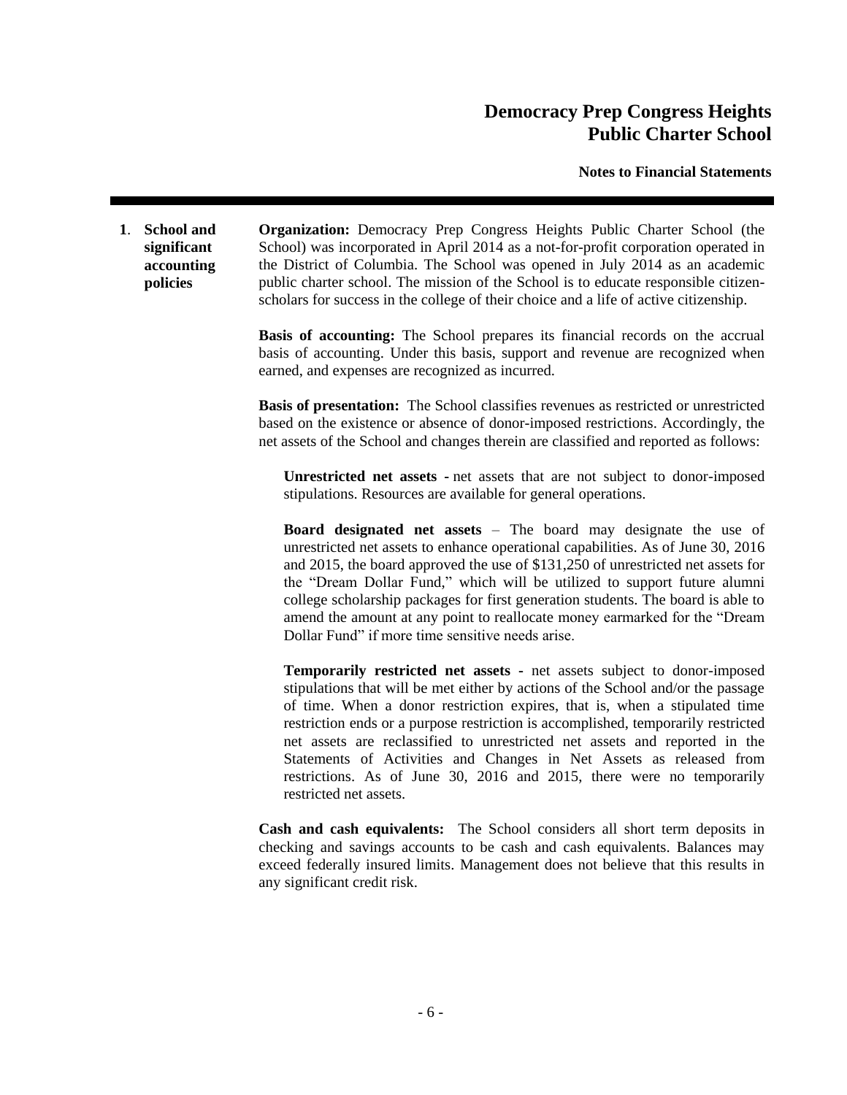#### **Notes to Financial Statements**

**1**. **School and significant accounting policies Organization:** Democracy Prep Congress Heights Public Charter School (the School) was incorporated in April 2014 as a not-for-profit corporation operated in the District of Columbia. The School was opened in July 2014 as an academic public charter school. The mission of the School is to educate responsible citizenscholars for success in the college of their choice and a life of active citizenship.

> **Basis of accounting:** The School prepares its financial records on the accrual basis of accounting. Under this basis, support and revenue are recognized when earned, and expenses are recognized as incurred.

> **Basis of presentation:** The School classifies revenues as restricted or unrestricted based on the existence or absence of donor-imposed restrictions. Accordingly, the net assets of the School and changes therein are classified and reported as follows:

**Unrestricted net assets -** net assets that are not subject to donor-imposed stipulations. Resources are available for general operations.

**Board designated net assets** – The board may designate the use of unrestricted net assets to enhance operational capabilities. As of June 30, 2016 and 2015, the board approved the use of \$131,250 of unrestricted net assets for the "Dream Dollar Fund," which will be utilized to support future alumni college scholarship packages for first generation students. The board is able to amend the amount at any point to reallocate money earmarked for the "Dream Dollar Fund" if more time sensitive needs arise.

**Temporarily restricted net assets -** net assets subject to donor-imposed stipulations that will be met either by actions of the School and/or the passage of time. When a donor restriction expires, that is, when a stipulated time restriction ends or a purpose restriction is accomplished, temporarily restricted net assets are reclassified to unrestricted net assets and reported in the Statements of Activities and Changes in Net Assets as released from restrictions. As of June 30, 2016 and 2015, there were no temporarily restricted net assets.

**Cash and cash equivalents:** The School considers all short term deposits in checking and savings accounts to be cash and cash equivalents. Balances may exceed federally insured limits. Management does not believe that this results in any significant credit risk.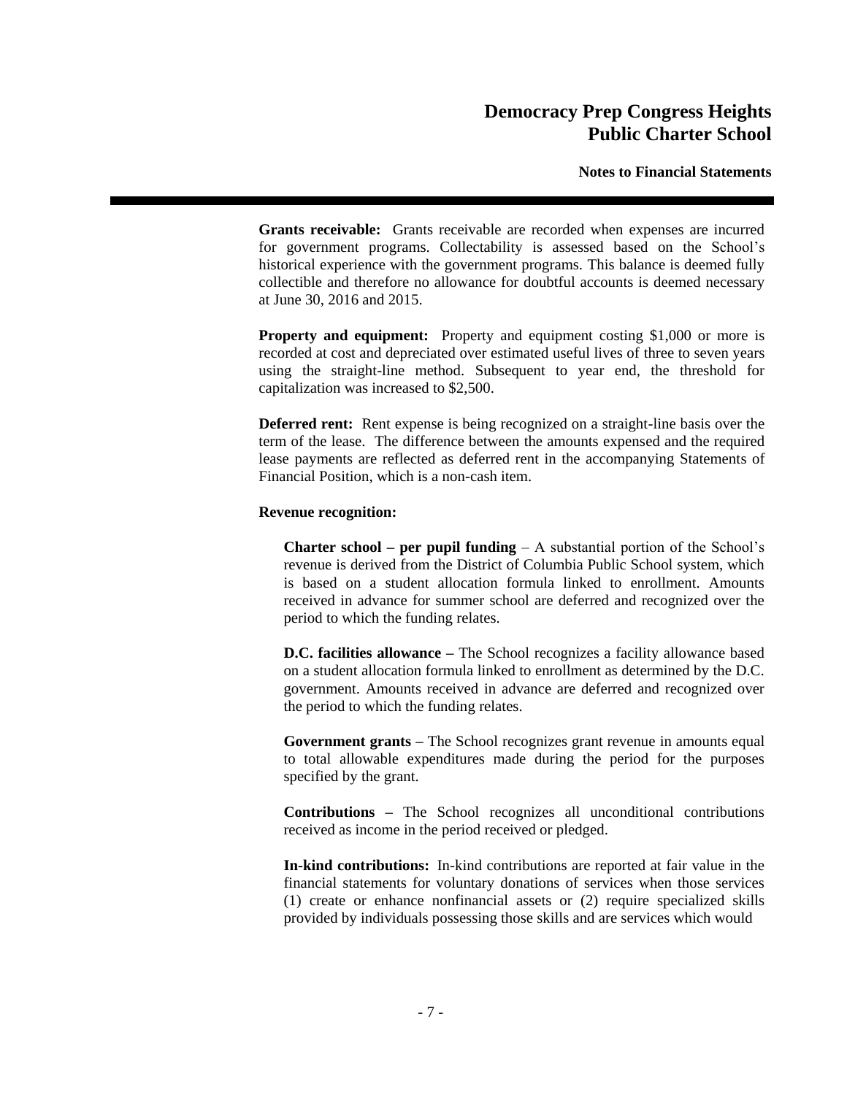**Notes to Financial Statements**

**Grants receivable:** Grants receivable are recorded when expenses are incurred for government programs. Collectability is assessed based on the School's historical experience with the government programs. This balance is deemed fully collectible and therefore no allowance for doubtful accounts is deemed necessary at June 30, 2016 and 2015.

**Property and equipment:** Property and equipment costing \$1,000 or more is recorded at cost and depreciated over estimated useful lives of three to seven years using the straight-line method. Subsequent to year end, the threshold for capitalization was increased to \$2,500.

**Deferred rent:** Rent expense is being recognized on a straight-line basis over the term of the lease. The difference between the amounts expensed and the required lease payments are reflected as deferred rent in the accompanying Statements of Financial Position, which is a non-cash item.

#### **Revenue recognition:**

**Charter school – per pupil funding** – A substantial portion of the School's revenue is derived from the District of Columbia Public School system, which is based on a student allocation formula linked to enrollment. Amounts received in advance for summer school are deferred and recognized over the period to which the funding relates.

**D.C. facilities allowance –** The School recognizes a facility allowance based on a student allocation formula linked to enrollment as determined by the D.C. government. Amounts received in advance are deferred and recognized over the period to which the funding relates.

**Government grants –** The School recognizes grant revenue in amounts equal to total allowable expenditures made during the period for the purposes specified by the grant.

**Contributions –** The School recognizes all unconditional contributions received as income in the period received or pledged.

**In-kind contributions:** In-kind contributions are reported at fair value in the financial statements for voluntary donations of services when those services (1) create or enhance nonfinancial assets or (2) require specialized skills provided by individuals possessing those skills and are services which would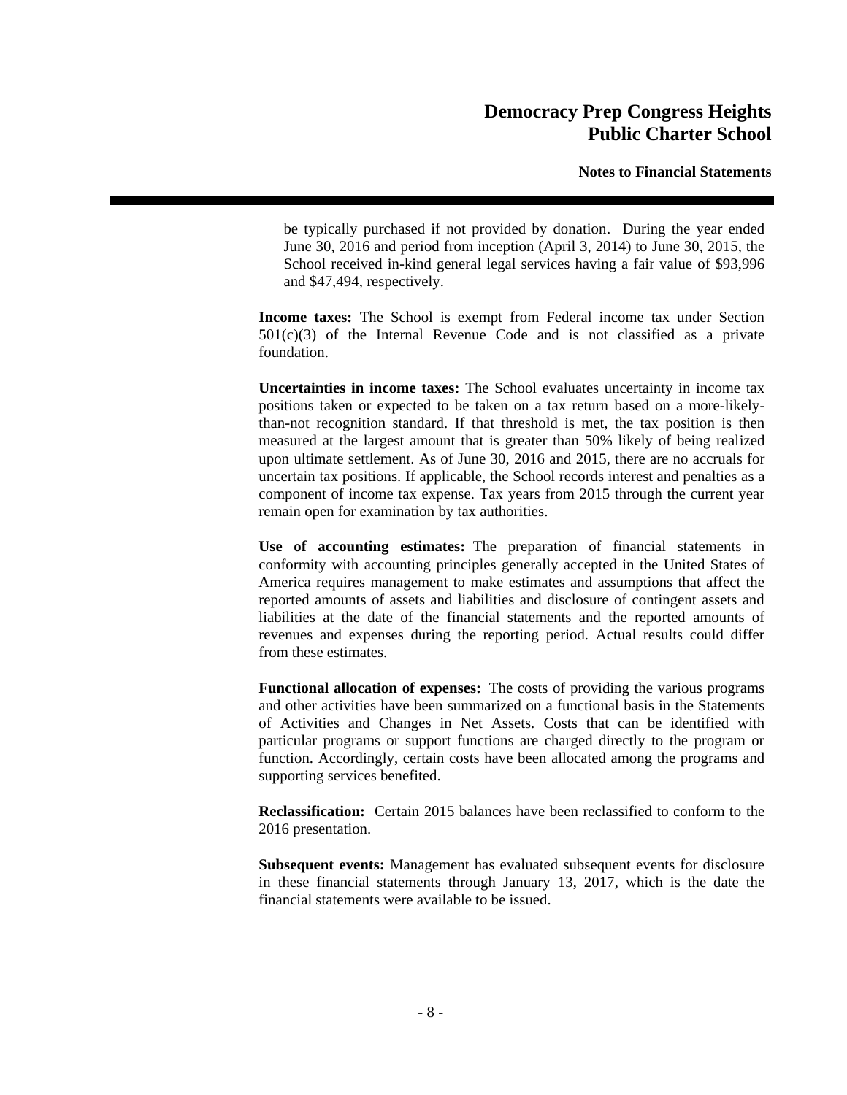**Notes to Financial Statements**

be typically purchased if not provided by donation. During the year ended June 30, 2016 and period from inception (April 3, 2014) to June 30, 2015, the School received in-kind general legal services having a fair value of \$93,996 and \$47,494, respectively.

**Income taxes:** The School is exempt from Federal income tax under Section  $501(c)(3)$  of the Internal Revenue Code and is not classified as a private foundation.

**Uncertainties in income taxes:** The School evaluates uncertainty in income tax positions taken or expected to be taken on a tax return based on a more-likelythan-not recognition standard. If that threshold is met, the tax position is then measured at the largest amount that is greater than 50% likely of being realized upon ultimate settlement. As of June 30, 2016 and 2015, there are no accruals for uncertain tax positions. If applicable, the School records interest and penalties as a component of income tax expense. Tax years from 2015 through the current year remain open for examination by tax authorities.

**Use of accounting estimates:** The preparation of financial statements in conformity with accounting principles generally accepted in the United States of America requires management to make estimates and assumptions that affect the reported amounts of assets and liabilities and disclosure of contingent assets and liabilities at the date of the financial statements and the reported amounts of revenues and expenses during the reporting period. Actual results could differ from these estimates.

**Functional allocation of expenses:** The costs of providing the various programs and other activities have been summarized on a functional basis in the Statements of Activities and Changes in Net Assets. Costs that can be identified with particular programs or support functions are charged directly to the program or function. Accordingly, certain costs have been allocated among the programs and supporting services benefited.

**Reclassification:** Certain 2015 balances have been reclassified to conform to the 2016 presentation.

**Subsequent events:** Management has evaluated subsequent events for disclosure in these financial statements through January 13, 2017, which is the date the financial statements were available to be issued.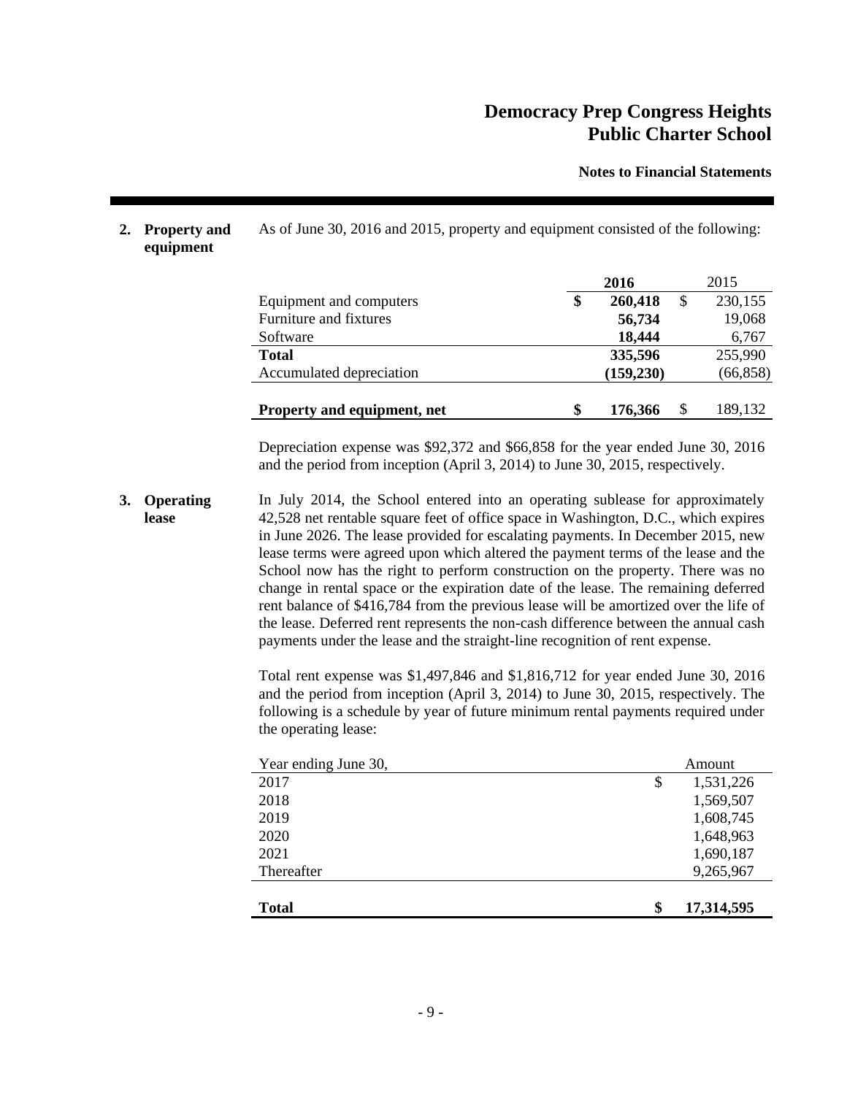**Notes to Financial Statements**

|                             | 2016          | 2015          |
|-----------------------------|---------------|---------------|
| Equipment and computers     | \$<br>260,418 | \$<br>230,155 |
| Furniture and fixtures      | 56,734        | 19,068        |
| Software                    | 18,444        | 6,767         |
| <b>Total</b>                | 335,596       | 255,990       |
| Accumulated depreciation    | (159, 230)    | (66, 858)     |
|                             |               |               |
| Property and equipment, net | \$<br>176,366 | \$<br>189,132 |

## Depreciation expense was \$92,372 and \$66,858 for the year ended June 30, 2016 and the period from inception (April 3, 2014) to June 30, 2015, respectively.

**3. Operating lease** In July 2014, the School entered into an operating sublease for approximately 42,528 net rentable square feet of office space in Washington, D.C., which expires in June 2026. The lease provided for escalating payments. In December 2015, new lease terms were agreed upon which altered the payment terms of the lease and the School now has the right to perform construction on the property. There was no change in rental space or the expiration date of the lease. The remaining deferred rent balance of \$416,784 from the previous lease will be amortized over the life of the lease. Deferred rent represents the non-cash difference between the annual cash payments under the lease and the straight-line recognition of rent expense.

> Total rent expense was \$1,497,846 and \$1,816,712 for year ended June 30, 2016 and the period from inception (April 3, 2014) to June 30, 2015, respectively. The following is a schedule by year of future minimum rental payments required under the operating lease:

| Year ending June 30, | Amount           |  |  |
|----------------------|------------------|--|--|
| 2017                 | \$<br>1,531,226  |  |  |
| 2018                 | 1,569,507        |  |  |
| 2019                 | 1,608,745        |  |  |
| 2020                 | 1,648,963        |  |  |
| 2021                 | 1,690,187        |  |  |
| Thereafter           | 9,265,967        |  |  |
|                      |                  |  |  |
| <b>Total</b>         | \$<br>17,314,595 |  |  |

#### **2. Property and equipment** As of June 30, 2016 and 2015, property and equipment consisted of the following: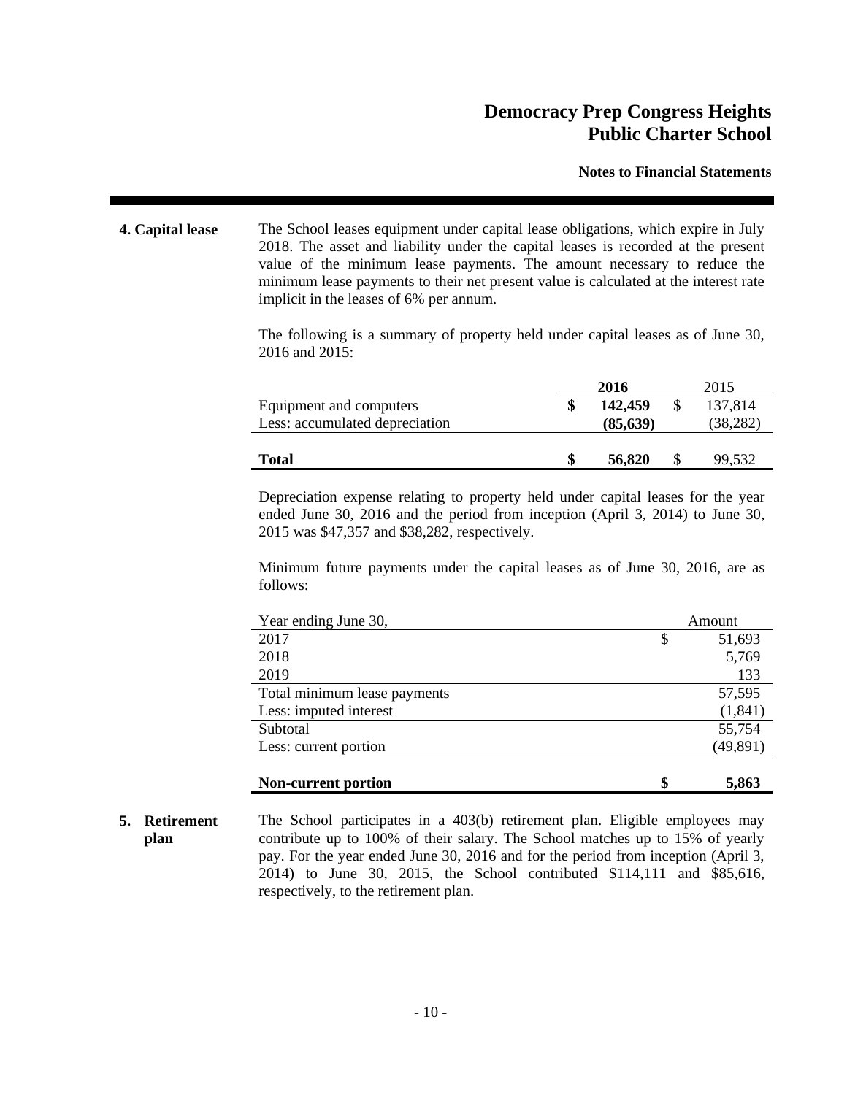**Notes to Financial Statements**

**4. Capital lease** The School leases equipment under capital lease obligations, which expire in July 2018. The asset and liability under the capital leases is recorded at the present value of the minimum lease payments. The amount necessary to reduce the minimum lease payments to their net present value is calculated at the interest rate implicit in the leases of 6% per annum.

> The following is a summary of property held under capital leases as of June 30, 2016 and 2015:

|                                | 2016 |           |  | 2015      |
|--------------------------------|------|-----------|--|-----------|
| Equipment and computers        | \$   | 142,459   |  | 137,814   |
| Less: accumulated depreciation |      | (85, 639) |  | (38, 282) |
|                                |      |           |  |           |
| Total                          | S    | 56,820    |  | 99.532    |
|                                |      |           |  |           |

Depreciation expense relating to property held under capital leases for the year ended June 30, 2016 and the period from inception (April 3, 2014) to June 30, 2015 was \$47,357 and \$38,282, respectively.

Minimum future payments under the capital leases as of June 30, 2016, are as follows:

| Year ending June 30,         | Amount       |
|------------------------------|--------------|
| 2017                         | \$<br>51,693 |
| 2018                         | 5,769        |
| 2019                         | 133          |
| Total minimum lease payments | 57,595       |
| Less: imputed interest       | (1, 841)     |
| Subtotal                     | 55,754       |
| Less: current portion        | (49, 891)    |
| <b>Non-current portion</b>   | 5.863        |
|                              |              |

**5. Retirement plan** The School participates in a 403(b) retirement plan. Eligible employees may contribute up to 100% of their salary. The School matches up to 15% of yearly pay. For the year ended June 30, 2016 and for the period from inception (April 3, 2014) to June 30, 2015, the School contributed \$114,111 and \$85,616, respectively, to the retirement plan.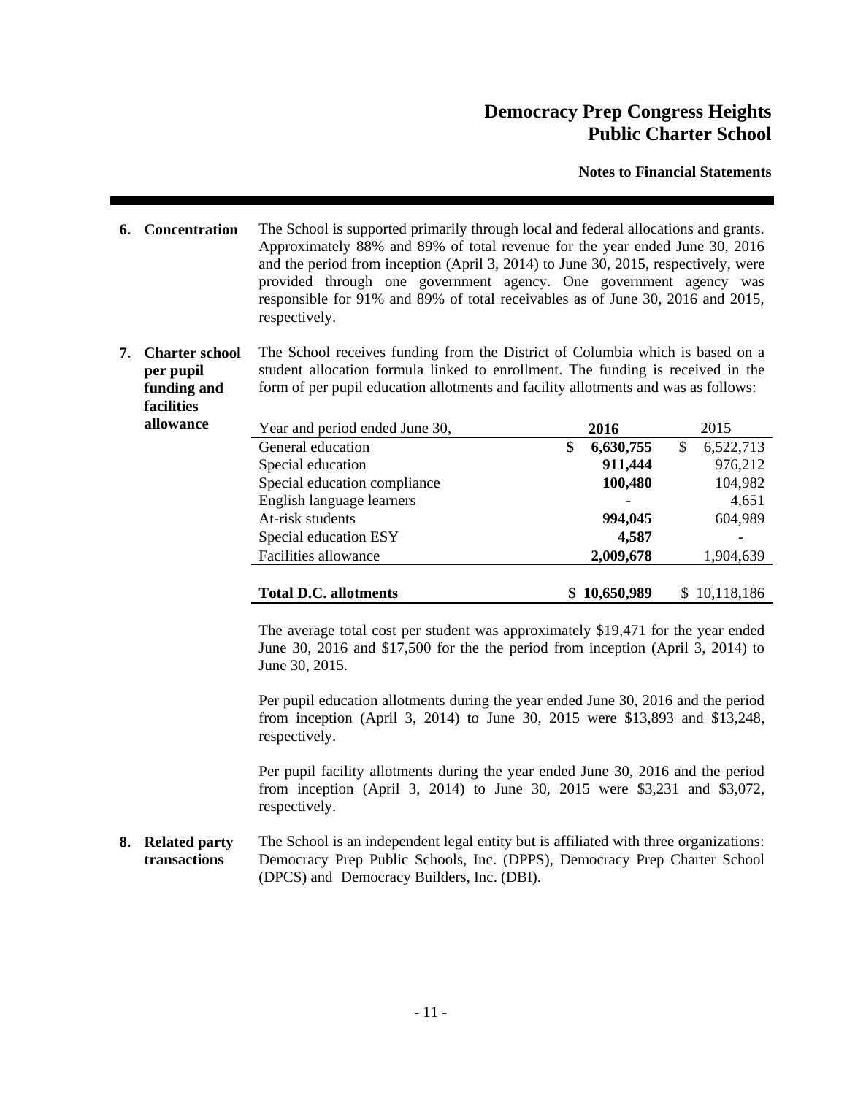#### **Notes to Financial Statements**

- **6. Concentration** The School is supported primarily through local and federal allocations and grants. Approximately 88% and 89% of total revenue for the year ended June 30, 2016 and the period from inception (April 3, 2014) to June 30, 2015, respectively, were provided through one government agency. One government agency was responsible for 91% and 89% of total receivables as of June 30, 2016 and 2015, respectively.
- **7. Charter school per pupil funding and facilities** The School receives funding from the District of Columbia which is based on a student allocation formula linked to enrollment. The funding is received in the form of per pupil education allotments and facility allotments and was as follows:

| allowance | Year and period ended June 30, | 2016            | 2015            |
|-----------|--------------------------------|-----------------|-----------------|
|           | General education              | \$<br>6,630,755 | \$<br>6,522,713 |
|           | Special education              | 911,444         | 976,212         |
|           | Special education compliance   | 100,480         | 104,982         |
|           | English language learners      |                 | 4,651           |
|           | At-risk students               | 994,045         | 604,989         |
|           | Special education ESY          | 4,587           |                 |
|           | Facilities allowance           | 2,009,678       | 1,904,639       |
|           | <b>Total D.C. allotments</b>   | \$10,650,989    | \$10,118,186    |

The average total cost per student was approximately \$19,471 for the year ended June 30, 2016 and \$17,500 for the the period from inception (April 3, 2014) to June 30, 2015.

Per pupil education allotments during the year ended June 30, 2016 and the period from inception (April 3, 2014) to June 30, 2015 were \$13,893 and \$13,248, respectively.

Per pupil facility allotments during the year ended June 30, 2016 and the period from inception (April 3, 2014) to June 30, 2015 were \$3,231 and \$3,072, respectively.

**8. Related party transactions** The School is an independent legal entity but is affiliated with three organizations: Democracy Prep Public Schools, Inc. (DPPS), Democracy Prep Charter School (DPCS) and Democracy Builders, Inc. (DBI).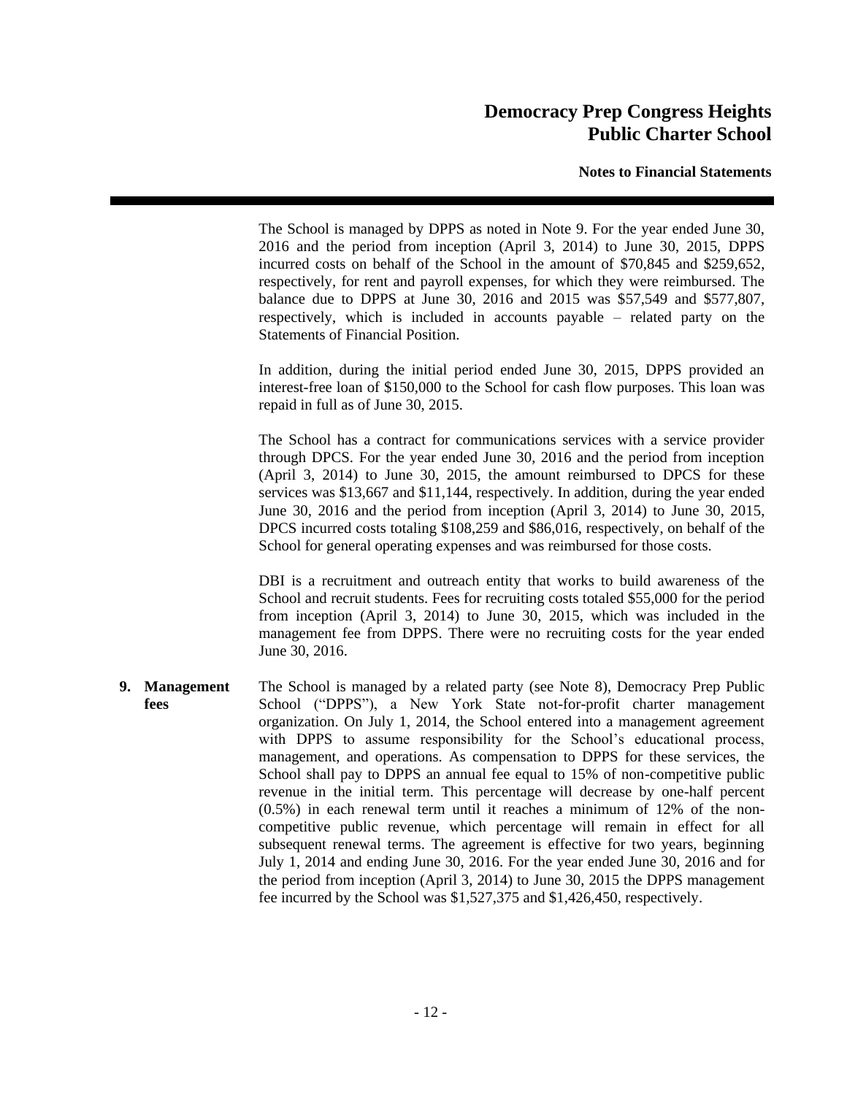**Notes to Financial Statements**

The School is managed by DPPS as noted in Note 9. For the year ended June 30, 2016 and the period from inception (April 3, 2014) to June 30, 2015, DPPS incurred costs on behalf of the School in the amount of \$70,845 and \$259,652, respectively, for rent and payroll expenses, for which they were reimbursed. The balance due to DPPS at June 30, 2016 and 2015 was \$57,549 and \$577,807, respectively, which is included in accounts payable – related party on the Statements of Financial Position.

In addition, during the initial period ended June 30, 2015, DPPS provided an interest-free loan of \$150,000 to the School for cash flow purposes. This loan was repaid in full as of June 30, 2015.

The School has a contract for communications services with a service provider through DPCS. For the year ended June 30, 2016 and the period from inception (April 3, 2014) to June 30, 2015, the amount reimbursed to DPCS for these services was \$13,667 and \$11,144, respectively. In addition, during the year ended June 30, 2016 and the period from inception (April 3, 2014) to June 30, 2015, DPCS incurred costs totaling \$108,259 and \$86,016, respectively, on behalf of the School for general operating expenses and was reimbursed for those costs.

DBI is a recruitment and outreach entity that works to build awareness of the School and recruit students. Fees for recruiting costs totaled \$55,000 for the period from inception (April 3, 2014) to June 30, 2015, which was included in the management fee from DPPS. There were no recruiting costs for the year ended June 30, 2016.

**9. Management fees** The School is managed by a related party (see Note 8), Democracy Prep Public School ("DPPS"), a New York State not-for-profit charter management organization. On July 1, 2014, the School entered into a management agreement with DPPS to assume responsibility for the School's educational process, management, and operations. As compensation to DPPS for these services, the School shall pay to DPPS an annual fee equal to 15% of non-competitive public revenue in the initial term. This percentage will decrease by one-half percent (0.5%) in each renewal term until it reaches a minimum of 12% of the noncompetitive public revenue, which percentage will remain in effect for all subsequent renewal terms. The agreement is effective for two years, beginning July 1, 2014 and ending June 30, 2016. For the year ended June 30, 2016 and for the period from inception (April 3, 2014) to June 30, 2015 the DPPS management fee incurred by the School was \$1,527,375 and \$1,426,450, respectively.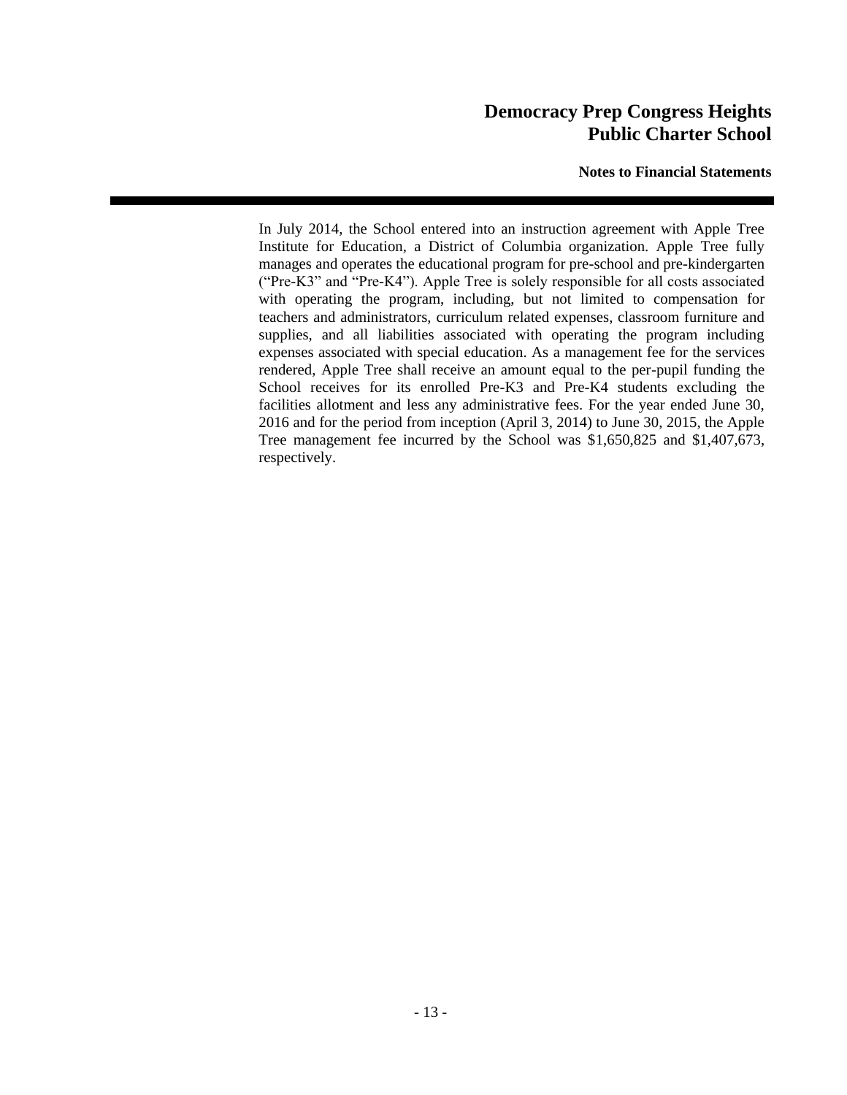#### **Notes to Financial Statements**

In July 2014, the School entered into an instruction agreement with Apple Tree Institute for Education, a District of Columbia organization. Apple Tree fully manages and operates the educational program for pre-school and pre-kindergarten ("Pre-K3" and "Pre-K4"). Apple Tree is solely responsible for all costs associated with operating the program, including, but not limited to compensation for teachers and administrators, curriculum related expenses, classroom furniture and supplies, and all liabilities associated with operating the program including expenses associated with special education. As a management fee for the services rendered, Apple Tree shall receive an amount equal to the per-pupil funding the School receives for its enrolled Pre-K3 and Pre-K4 students excluding the facilities allotment and less any administrative fees. For the year ended June 30, 2016 and for the period from inception (April 3, 2014) to June 30, 2015, the Apple Tree management fee incurred by the School was \$1,650,825 and \$1,407,673, respectively.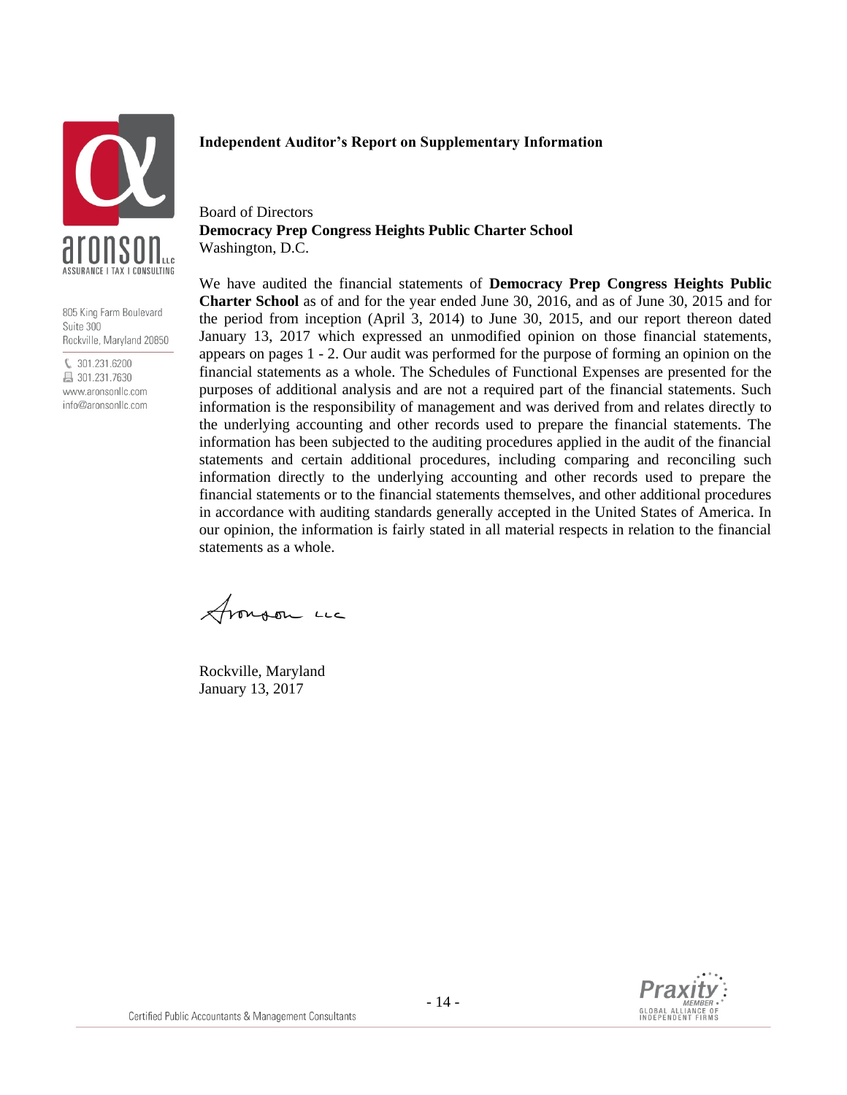

805 King Farm Boulevard Suite 300 Rockville, Maryland 20850

€ 301.231.6200 ■ 301.231.7630 www.aronsonllc.com info@aronsonllc.com

#### **Independent Auditor's Report on Supplementary Information**

Board of Directors **Democracy Prep Congress Heights Public Charter School**  Washington, D.C.

We have audited the financial statements of **Democracy Prep Congress Heights Public Charter School** as of and for the year ended June 30, 2016, and as of June 30, 2015 and for the period from inception (April 3, 2014) to June 30, 2015, and our report thereon dated January 13, 2017 which expressed an unmodified opinion on those financial statements, appears on pages 1 - 2. Our audit was performed for the purpose of forming an opinion on the financial statements as a whole. The Schedules of Functional Expenses are presented for the purposes of additional analysis and are not a required part of the financial statements. Such information is the responsibility of management and was derived from and relates directly to the underlying accounting and other records used to prepare the financial statements. The information has been subjected to the auditing procedures applied in the audit of the financial statements and certain additional procedures, including comparing and reconciling such information directly to the underlying accounting and other records used to prepare the financial statements or to the financial statements themselves, and other additional procedures in accordance with auditing standards generally accepted in the United States of America. In our opinion, the information is fairly stated in all material respects in relation to the financial statements as a whole.

Aronson un

Rockville, Maryland January 13, 2017

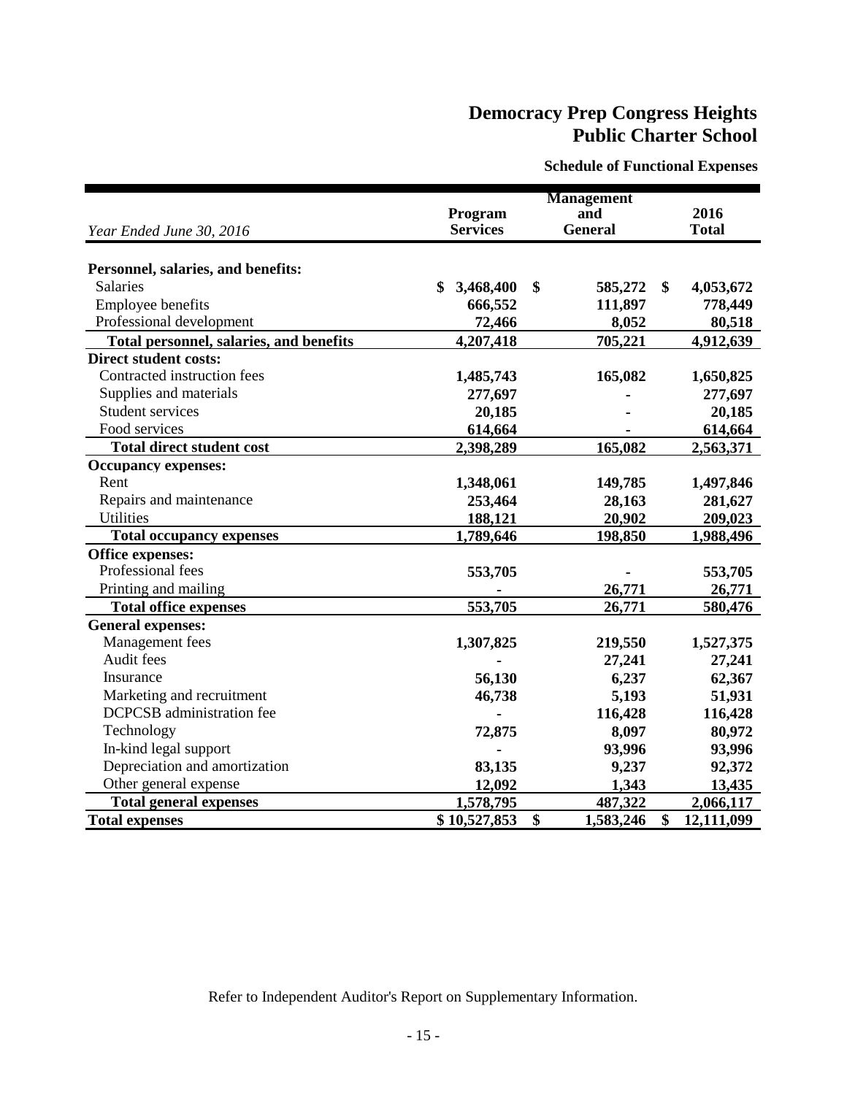**Schedule of Functional Expenses**

|                                                | <b>Management</b> |                 |    |              |
|------------------------------------------------|-------------------|-----------------|----|--------------|
|                                                | Program           | and             |    | 2016         |
| Year Ended June 30, 2016                       | <b>Services</b>   | <b>General</b>  |    | <b>Total</b> |
|                                                |                   |                 |    |              |
| Personnel, salaries, and benefits:             |                   |                 |    |              |
| <b>Salaries</b>                                | 3,468,400<br>\$   | \$<br>585,272   | \$ | 4,053,672    |
| <b>Employee benefits</b>                       | 666,552           | 111,897         |    | 778,449      |
| Professional development                       | 72,466            | 8,052           |    | 80,518       |
| <b>Total personnel, salaries, and benefits</b> | 4,207,418         | 705,221         |    | 4,912,639    |
| <b>Direct student costs:</b>                   |                   |                 |    |              |
| Contracted instruction fees                    | 1,485,743         | 165,082         |    | 1,650,825    |
| Supplies and materials                         | 277,697           |                 |    | 277,697      |
| <b>Student services</b>                        | 20,185            |                 |    | 20,185       |
| Food services                                  | 614,664           |                 |    | 614,664      |
| <b>Total direct student cost</b>               | 2,398,289         | 165,082         |    | 2,563,371    |
| <b>Occupancy expenses:</b>                     |                   |                 |    |              |
| Rent                                           | 1,348,061         | 149,785         |    | 1,497,846    |
| Repairs and maintenance                        | 253,464           | 28,163          |    | 281,627      |
| <b>Utilities</b>                               | 188,121           | 20,902          |    | 209,023      |
| <b>Total occupancy expenses</b>                | 1,789,646         | 198,850         |    | 1,988,496    |
| Office expenses:                               |                   |                 |    |              |
| Professional fees                              | 553,705           |                 |    | 553,705      |
| Printing and mailing                           |                   | 26,771          |    | 26,771       |
| <b>Total office expenses</b>                   | 553,705           | 26,771          |    | 580,476      |
| <b>General expenses:</b>                       |                   |                 |    |              |
| Management fees                                | 1,307,825         | 219,550         |    | 1,527,375    |
| Audit fees                                     |                   | 27,241          |    | 27,241       |
| Insurance                                      | 56,130            | 6,237           |    | 62,367       |
| Marketing and recruitment                      | 46,738            | 5,193           |    | 51,931       |
| <b>DCPCSB</b> administration fee               |                   | 116,428         |    | 116,428      |
| Technology                                     | 72,875            | 8,097           |    | 80,972       |
| In-kind legal support                          |                   | 93,996          |    | 93,996       |
| Depreciation and amortization                  | 83,135            | 9,237           |    | 92,372       |
| Other general expense                          | 12,092            | 1,343           |    | 13,435       |
| <b>Total general expenses</b>                  | 1,578,795         | 487,322         |    | 2,066,117    |
| <b>Total expenses</b>                          | \$10,527,853      | \$<br>1,583,246 | \$ | 12,111,099   |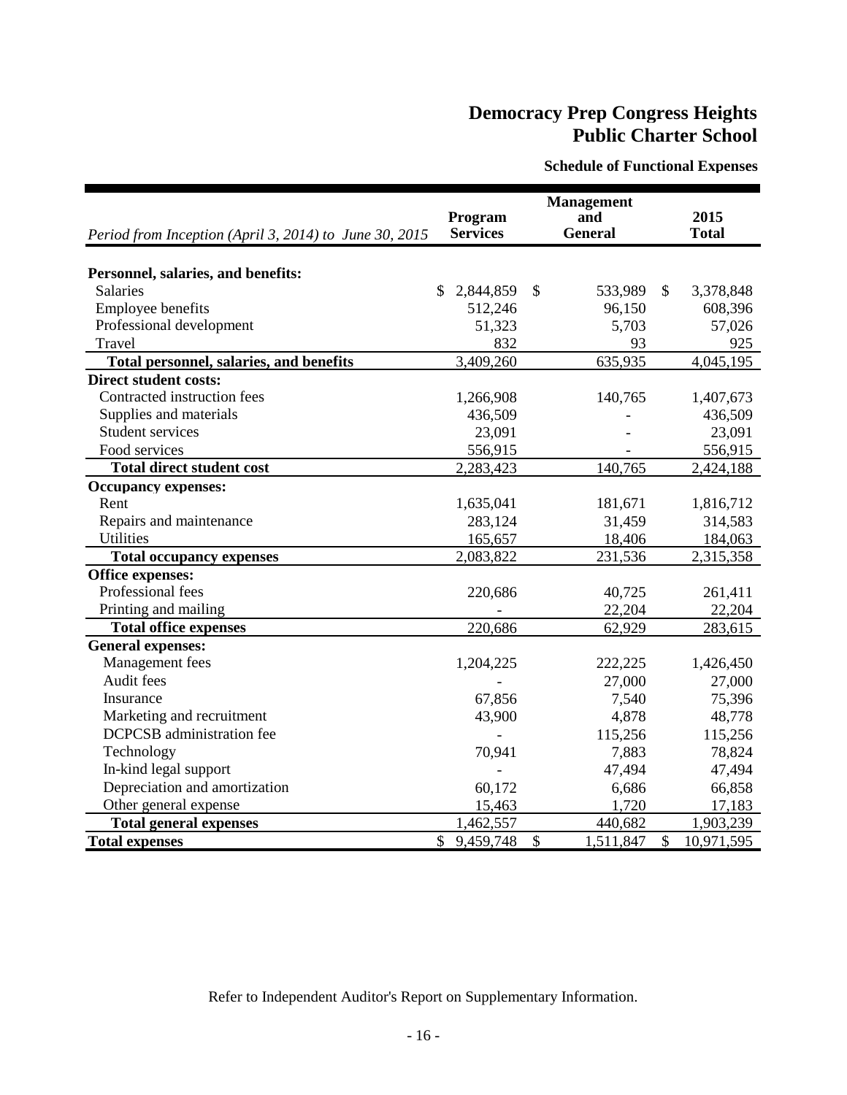**Schedule of Functional Expenses**

|                                                        | <b>Management</b><br>Program<br>and |                            |                           | 2015         |
|--------------------------------------------------------|-------------------------------------|----------------------------|---------------------------|--------------|
| Period from Inception (April 3, 2014) to June 30, 2015 | <b>Services</b>                     | <b>General</b>             |                           | <b>Total</b> |
|                                                        |                                     |                            |                           |              |
| Personnel, salaries, and benefits:                     |                                     |                            |                           |              |
| <b>Salaries</b>                                        | \$<br>2,844,859                     | \$<br>533,989              | $\mathcal{S}$             | 3,378,848    |
| Employee benefits                                      | 512,246                             | 96,150                     |                           | 608,396      |
| Professional development                               | 51,323                              | 5,703                      |                           | 57,026       |
| Travel                                                 | 832                                 | 93                         |                           | 925          |
| <b>Total personnel, salaries, and benefits</b>         | 3,409,260                           | 635,935                    |                           | 4,045,195    |
| <b>Direct student costs:</b>                           |                                     |                            |                           |              |
| Contracted instruction fees                            | 1,266,908                           | 140,765                    |                           | 1,407,673    |
| Supplies and materials                                 | 436,509                             |                            |                           | 436,509      |
| <b>Student services</b>                                | 23,091                              |                            |                           | 23,091       |
| Food services                                          | 556,915                             |                            |                           | 556,915      |
| <b>Total direct student cost</b>                       | 2,283,423                           | 140,765                    |                           | 2,424,188    |
| <b>Occupancy expenses:</b>                             |                                     |                            |                           |              |
| Rent                                                   | 1,635,041                           | 181,671                    |                           | 1,816,712    |
| Repairs and maintenance                                | 283,124                             | 31,459                     |                           | 314,583      |
| <b>Utilities</b>                                       | 165,657                             | 18,406                     |                           | 184,063      |
| <b>Total occupancy expenses</b>                        | 2,083,822                           | 231,536                    |                           | 2,315,358    |
| Office expenses:                                       |                                     |                            |                           |              |
| Professional fees                                      | 220,686                             | 40,725                     |                           | 261,411      |
| Printing and mailing                                   |                                     | 22,204                     |                           | 22,204       |
| <b>Total office expenses</b>                           | 220,686                             | 62,929                     |                           | 283,615      |
| <b>General expenses:</b>                               |                                     |                            |                           |              |
| Management fees                                        | 1,204,225                           | 222,225                    |                           | 1,426,450    |
| Audit fees                                             |                                     | 27,000                     |                           | 27,000       |
| Insurance                                              | 67,856                              | 7,540                      |                           | 75,396       |
| Marketing and recruitment                              | 43,900                              | 4,878                      |                           | 48,778       |
| <b>DCPCSB</b> administration fee                       |                                     | 115,256                    |                           | 115,256      |
| Technology                                             | 70,941                              | 7,883                      |                           | 78,824       |
| In-kind legal support                                  |                                     | 47,494                     |                           | 47,494       |
| Depreciation and amortization                          | 60,172                              | 6,686                      |                           | 66,858       |
| Other general expense                                  | 15,463                              | 1,720                      |                           | 17,183       |
| <b>Total general expenses</b>                          | 1,462,557                           | 440,682                    |                           | 1,903,239    |
| <b>Total expenses</b>                                  | \$9,459,748                         | $\mathcal{S}$<br>1,511,847 | $\boldsymbol{\mathsf{S}}$ | 10,971,595   |

Refer to Independent Auditor's Report on Supplementary Information.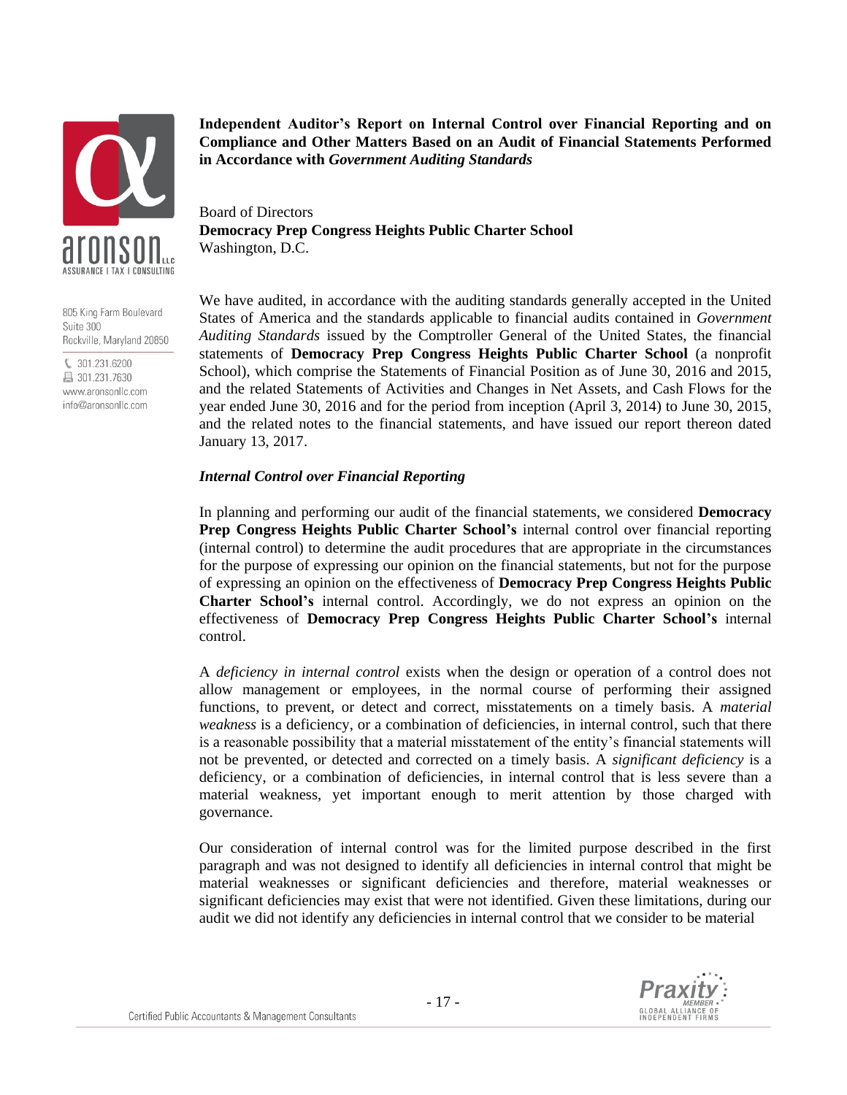

805 King Farm Boulevard Suite 300 Rockville, Maryland 20850

€ 301.231.6200 昌 301.231.7630 www.aronsonllc.com info@aronsonllc.com **Independent Auditor's Report on Internal Control over Financial Reporting and on Compliance and Other Matters Based on an Audit of Financial Statements Performed in Accordance with** *Government Auditing Standards*

Board of Directors **Democracy Prep Congress Heights Public Charter School**  Washington, D.C.

We have audited, in accordance with the auditing standards generally accepted in the United States of America and the standards applicable to financial audits contained in *Government Auditing Standards* issued by the Comptroller General of the United States, the financial statements of **Democracy Prep Congress Heights Public Charter School** (a nonprofit School), which comprise the Statements of Financial Position as of June 30, 2016 and 2015, and the related Statements of Activities and Changes in Net Assets, and Cash Flows for the year ended June 30, 2016 and for the period from inception (April 3, 2014) to June 30, 2015, and the related notes to the financial statements, and have issued our report thereon dated January 13, 2017.

#### *Internal Control over Financial Reporting*

In planning and performing our audit of the financial statements, we considered **Democracy Prep Congress Heights Public Charter School's** internal control over financial reporting (internal control) to determine the audit procedures that are appropriate in the circumstances for the purpose of expressing our opinion on the financial statements, but not for the purpose of expressing an opinion on the effectiveness of **Democracy Prep Congress Heights Public Charter School's** internal control. Accordingly, we do not express an opinion on the effectiveness of **Democracy Prep Congress Heights Public Charter School's** internal control.

A *deficiency in internal control* exists when the design or operation of a control does not allow management or employees, in the normal course of performing their assigned functions, to prevent, or detect and correct, misstatements on a timely basis. A *material weakness* is a deficiency, or a combination of deficiencies, in internal control, such that there is a reasonable possibility that a material misstatement of the entity's financial statements will not be prevented, or detected and corrected on a timely basis. A *significant deficiency* is a deficiency, or a combination of deficiencies, in internal control that is less severe than a material weakness, yet important enough to merit attention by those charged with governance.

Our consideration of internal control was for the limited purpose described in the first paragraph and was not designed to identify all deficiencies in internal control that might be material weaknesses or significant deficiencies and therefore, material weaknesses or significant deficiencies may exist that were not identified. Given these limitations, during our audit we did not identify any deficiencies in internal control that we consider to be material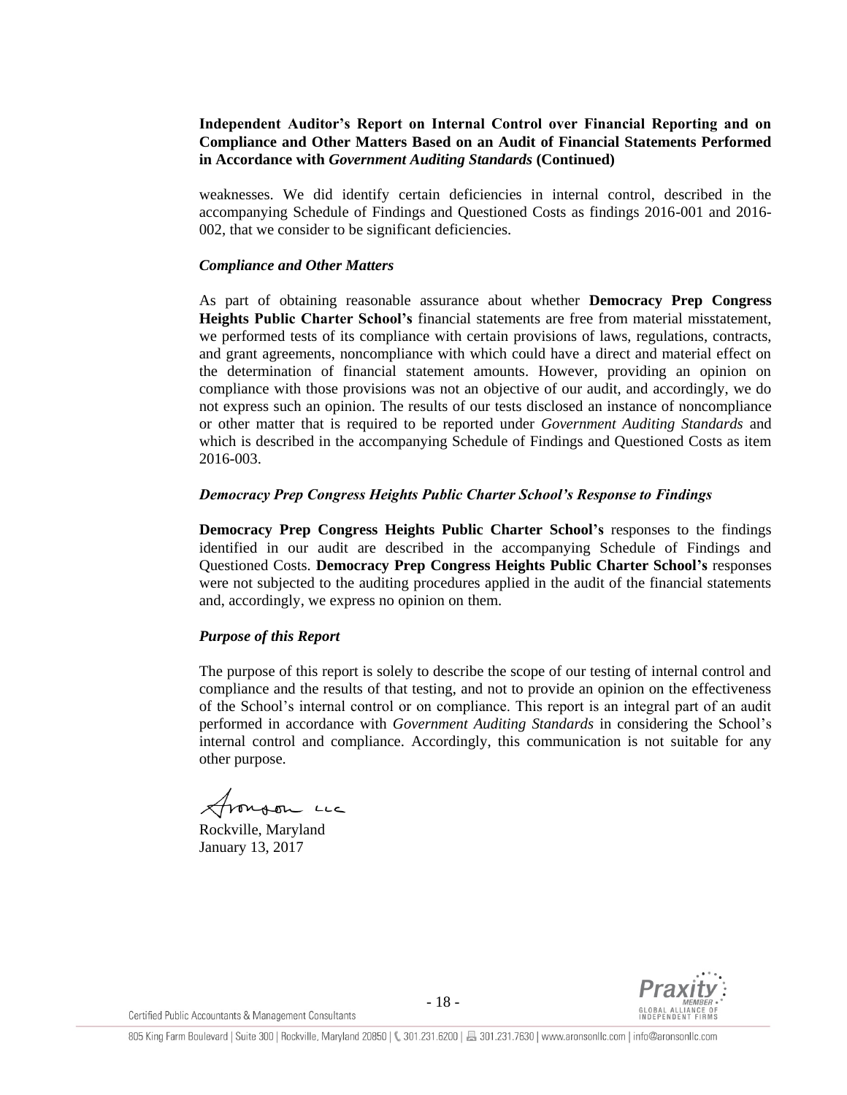## **Independent Auditor's Report on Internal Control over Financial Reporting and on Compliance and Other Matters Based on an Audit of Financial Statements Performed in Accordance with** *Government Auditing Standards* **(Continued)**

weaknesses. We did identify certain deficiencies in internal control, described in the accompanying Schedule of Findings and Questioned Costs as findings 2016-001 and 2016- 002, that we consider to be significant deficiencies.

#### *Compliance and Other Matters*

As part of obtaining reasonable assurance about whether **Democracy Prep Congress Heights Public Charter School's** financial statements are free from material misstatement, we performed tests of its compliance with certain provisions of laws, regulations, contracts, and grant agreements, noncompliance with which could have a direct and material effect on the determination of financial statement amounts. However, providing an opinion on compliance with those provisions was not an objective of our audit, and accordingly, we do not express such an opinion. The results of our tests disclosed an instance of noncompliance or other matter that is required to be reported under *Government Auditing Standards* and which is described in the accompanying Schedule of Findings and Questioned Costs as item 2016-003.

#### *Democracy Prep Congress Heights Public Charter School's Response to Findings*

**Democracy Prep Congress Heights Public Charter School's** responses to the findings identified in our audit are described in the accompanying Schedule of Findings and Questioned Costs. **Democracy Prep Congress Heights Public Charter School's** responses were not subjected to the auditing procedures applied in the audit of the financial statements and, accordingly, we express no opinion on them.

### *Purpose of this Report*

The purpose of this report is solely to describe the scope of our testing of internal control and compliance and the results of that testing, and not to provide an opinion on the effectiveness of the School's internal control or on compliance. This report is an integral part of an audit performed in accordance with *Government Auditing Standards* in considering the School's internal control and compliance. Accordingly, this communication is not suitable for any other purpose.

Aronson un

Rockville, Maryland January 13, 2017

Certified Public Accountants & Management Consultants

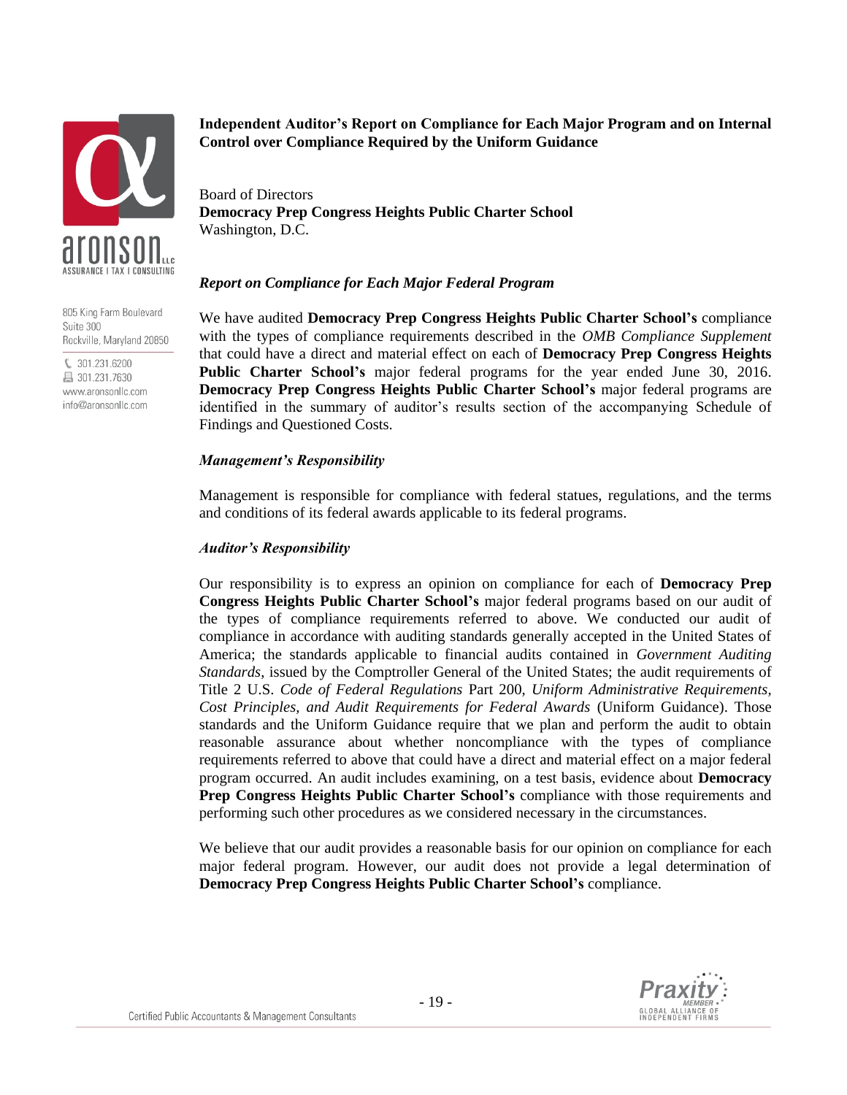

805 King Farm Boulevard Suite 300 Rockville, Maryland 20850

€ 301.231.6200 昌 301.231.7630 www.aronsonllc.com info@aronsonllc.com

## **Independent Auditor's Report on Compliance for Each Major Program and on Internal Control over Compliance Required by the Uniform Guidance**

Board of Directors **Democracy Prep Congress Heights Public Charter School**  Washington, D.C.

#### *Report on Compliance for Each Major Federal Program*

We have audited **Democracy Prep Congress Heights Public Charter School's** compliance with the types of compliance requirements described in the *OMB Compliance Supplement* that could have a direct and material effect on each of **Democracy Prep Congress Heights Public Charter School's** major federal programs for the year ended June 30, 2016. **Democracy Prep Congress Heights Public Charter School's** major federal programs are identified in the summary of auditor's results section of the accompanying Schedule of Findings and Questioned Costs.

### *Management's Responsibility*

Management is responsible for compliance with federal statues, regulations, and the terms and conditions of its federal awards applicable to its federal programs.

## *Auditor's Responsibility*

Our responsibility is to express an opinion on compliance for each of **Democracy Prep Congress Heights Public Charter School's** major federal programs based on our audit of the types of compliance requirements referred to above. We conducted our audit of compliance in accordance with auditing standards generally accepted in the United States of America; the standards applicable to financial audits contained in *Government Auditing Standards*, issued by the Comptroller General of the United States; the audit requirements of Title 2 U.S. *Code of Federal Regulations* Part 200, *Uniform Administrative Requirements, Cost Principles, and Audit Requirements for Federal Awards* (Uniform Guidance). Those standards and the Uniform Guidance require that we plan and perform the audit to obtain reasonable assurance about whether noncompliance with the types of compliance requirements referred to above that could have a direct and material effect on a major federal program occurred. An audit includes examining, on a test basis, evidence about **Democracy Prep Congress Heights Public Charter School's** compliance with those requirements and performing such other procedures as we considered necessary in the circumstances.

We believe that our audit provides a reasonable basis for our opinion on compliance for each major federal program. However, our audit does not provide a legal determination of **Democracy Prep Congress Heights Public Charter School's** compliance.

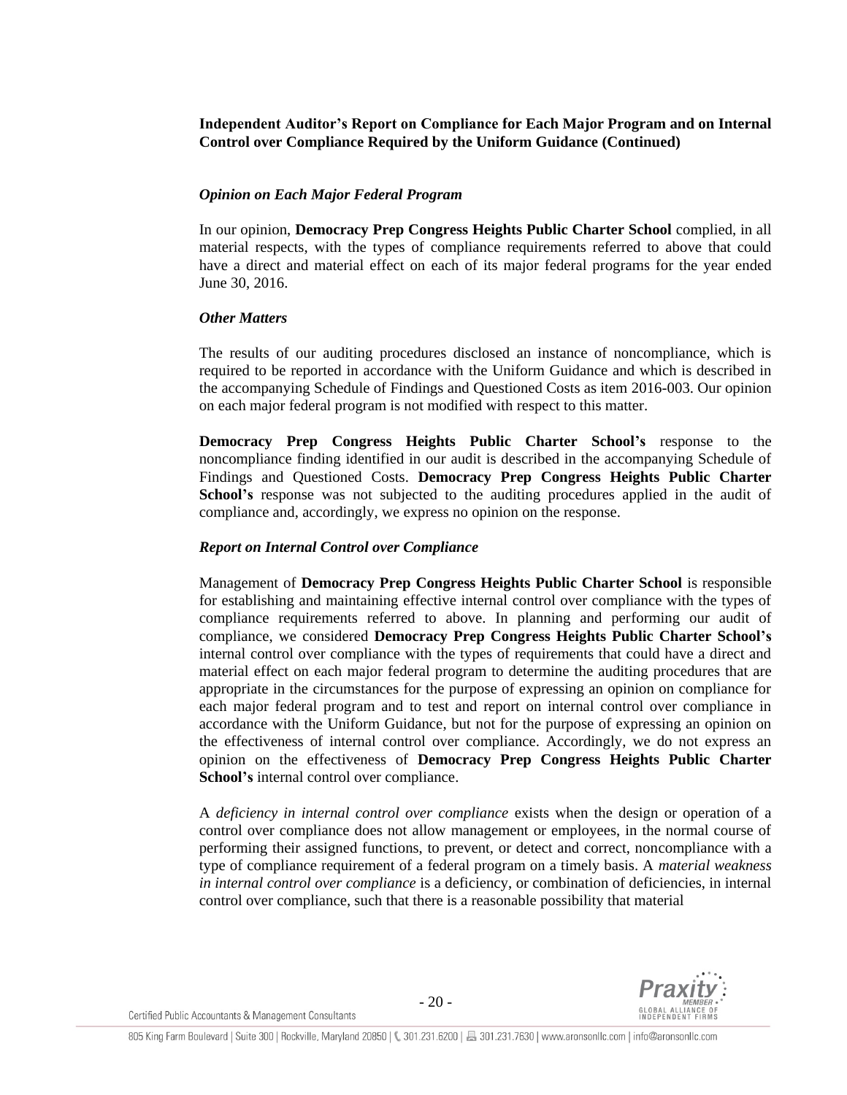## **Independent Auditor's Report on Compliance for Each Major Program and on Internal Control over Compliance Required by the Uniform Guidance (Continued)**

## *Opinion on Each Major Federal Program*

In our opinion, **Democracy Prep Congress Heights Public Charter School** complied, in all material respects, with the types of compliance requirements referred to above that could have a direct and material effect on each of its major federal programs for the year ended June 30, 2016.

### *Other Matters*

The results of our auditing procedures disclosed an instance of noncompliance, which is required to be reported in accordance with the Uniform Guidance and which is described in the accompanying Schedule of Findings and Questioned Costs as item 2016-003. Our opinion on each major federal program is not modified with respect to this matter.

**Democracy Prep Congress Heights Public Charter School's** response to the noncompliance finding identified in our audit is described in the accompanying Schedule of Findings and Questioned Costs. **Democracy Prep Congress Heights Public Charter**  School's response was not subjected to the auditing procedures applied in the audit of compliance and, accordingly, we express no opinion on the response.

### *Report on Internal Control over Compliance*

Management of **Democracy Prep Congress Heights Public Charter School** is responsible for establishing and maintaining effective internal control over compliance with the types of compliance requirements referred to above. In planning and performing our audit of compliance, we considered **Democracy Prep Congress Heights Public Charter School's** internal control over compliance with the types of requirements that could have a direct and material effect on each major federal program to determine the auditing procedures that are appropriate in the circumstances for the purpose of expressing an opinion on compliance for each major federal program and to test and report on internal control over compliance in accordance with the Uniform Guidance, but not for the purpose of expressing an opinion on the effectiveness of internal control over compliance. Accordingly, we do not express an opinion on the effectiveness of **Democracy Prep Congress Heights Public Charter School's** internal control over compliance.

A *deficiency in internal control over compliance* exists when the design or operation of a control over compliance does not allow management or employees, in the normal course of performing their assigned functions, to prevent, or detect and correct, noncompliance with a type of compliance requirement of a federal program on a timely basis. A *material weakness in internal control over compliance* is a deficiency, or combination of deficiencies, in internal control over compliance, such that there is a reasonable possibility that material

Certified Public Accountants & Management Consultants

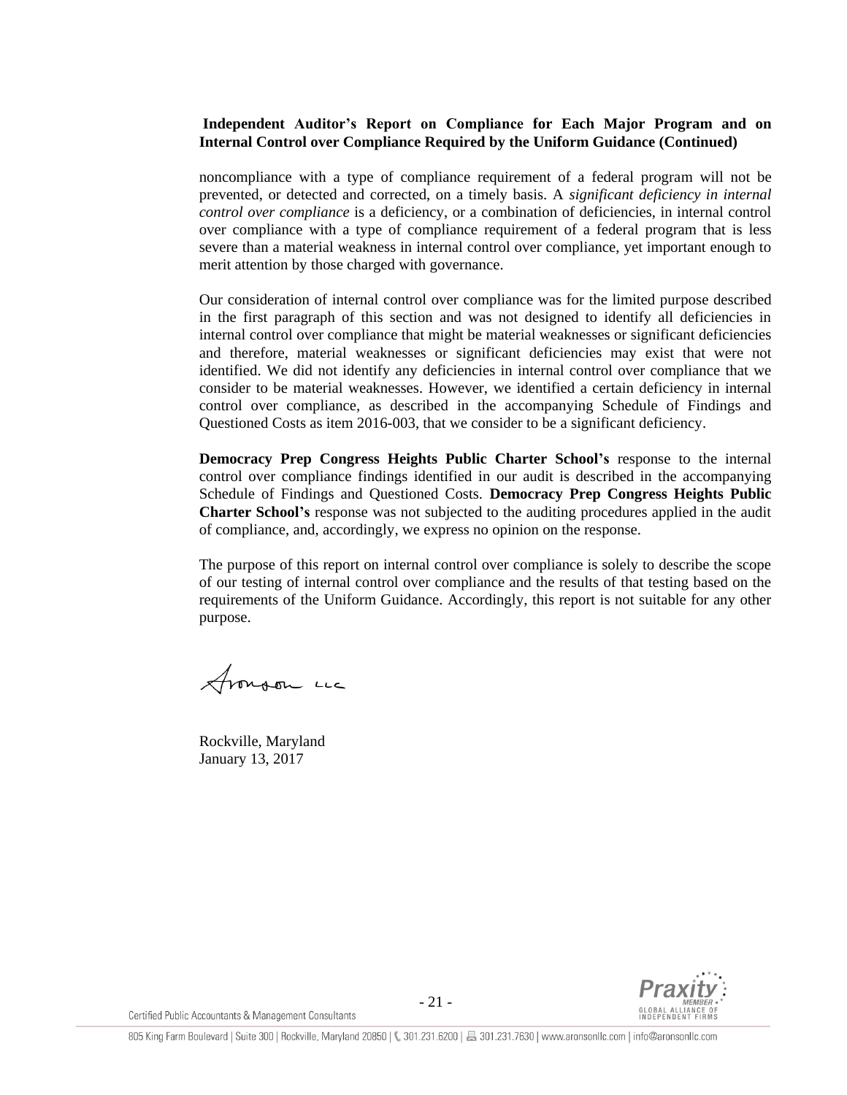## **Independent Auditor's Report on Compliance for Each Major Program and on Internal Control over Compliance Required by the Uniform Guidance (Continued)**

noncompliance with a type of compliance requirement of a federal program will not be prevented, or detected and corrected, on a timely basis. A *significant deficiency in internal control over compliance* is a deficiency, or a combination of deficiencies, in internal control over compliance with a type of compliance requirement of a federal program that is less severe than a material weakness in internal control over compliance, yet important enough to merit attention by those charged with governance.

Our consideration of internal control over compliance was for the limited purpose described in the first paragraph of this section and was not designed to identify all deficiencies in internal control over compliance that might be material weaknesses or significant deficiencies and therefore, material weaknesses or significant deficiencies may exist that were not identified. We did not identify any deficiencies in internal control over compliance that we consider to be material weaknesses. However, we identified a certain deficiency in internal control over compliance, as described in the accompanying Schedule of Findings and Questioned Costs as item 2016-003, that we consider to be a significant deficiency.

**Democracy Prep Congress Heights Public Charter School's** response to the internal control over compliance findings identified in our audit is described in the accompanying Schedule of Findings and Questioned Costs. **Democracy Prep Congress Heights Public Charter School's** response was not subjected to the auditing procedures applied in the audit of compliance, and, accordingly, we express no opinion on the response.

The purpose of this report on internal control over compliance is solely to describe the scope of our testing of internal control over compliance and the results of that testing based on the requirements of the Uniform Guidance. Accordingly, this report is not suitable for any other purpose.

Aronson un

Rockville, Maryland January 13, 2017



Certified Public Accountants & Management Consultants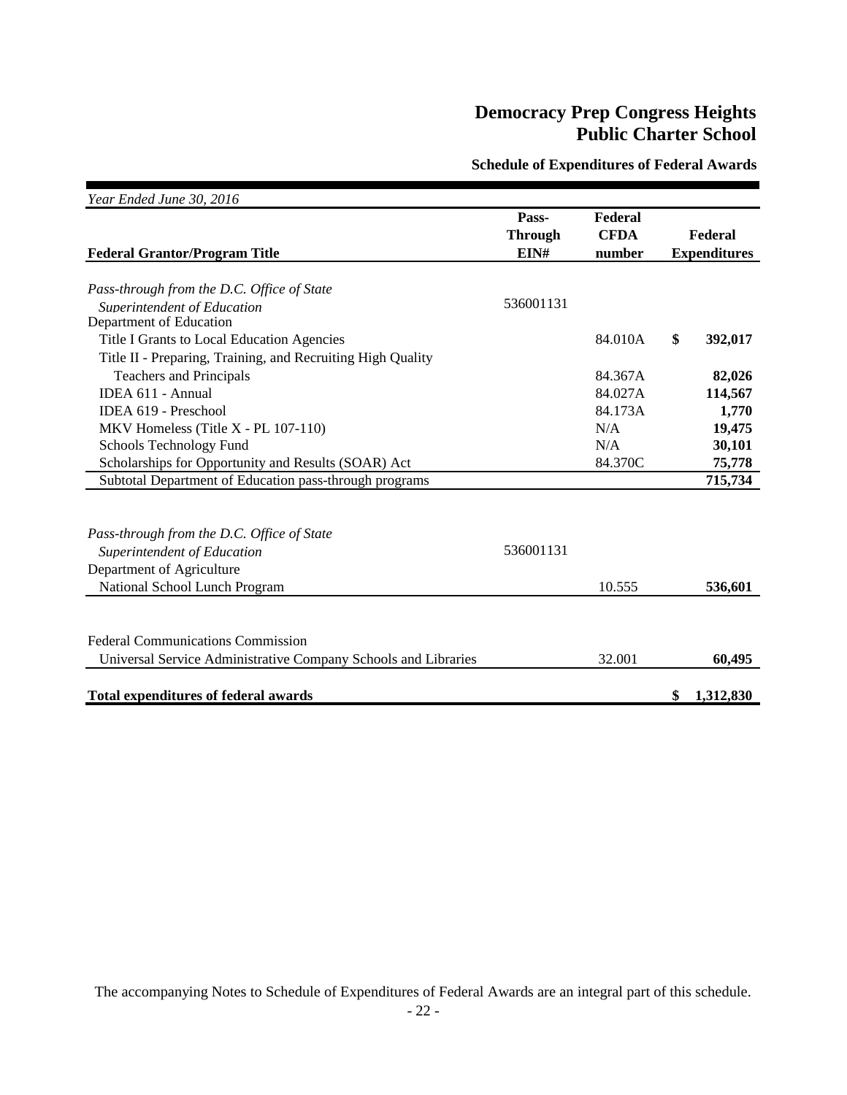**Schedule of Expenditures of Federal Awards**

| Year Ended June 30, 2016                                       |                |             |                     |
|----------------------------------------------------------------|----------------|-------------|---------------------|
|                                                                | Pass-          | Federal     |                     |
|                                                                | <b>Through</b> | <b>CFDA</b> | Federal             |
| <b>Federal Grantor/Program Title</b>                           | EIN#           | number      | <b>Expenditures</b> |
| Pass-through from the D.C. Office of State                     |                |             |                     |
| Superintendent of Education                                    | 536001131      |             |                     |
| Department of Education                                        |                |             |                     |
| Title I Grants to Local Education Agencies                     |                | 84.010A     | \$<br>392,017       |
| Title II - Preparing, Training, and Recruiting High Quality    |                |             |                     |
| <b>Teachers and Principals</b>                                 |                | 84.367A     | 82,026              |
| IDEA 611 - Annual                                              |                | 84.027A     | 114,567             |
| IDEA 619 - Preschool                                           |                | 84.173A     | 1,770               |
| MKV Homeless (Title X - PL 107-110)                            |                | N/A         | 19,475              |
| Schools Technology Fund                                        |                | N/A         | 30,101              |
| Scholarships for Opportunity and Results (SOAR) Act            |                | 84.370C     | 75,778              |
| Subtotal Department of Education pass-through programs         |                |             | 715,734             |
|                                                                |                |             |                     |
|                                                                |                |             |                     |
| Pass-through from the D.C. Office of State                     |                |             |                     |
| Superintendent of Education                                    | 536001131      |             |                     |
| Department of Agriculture                                      |                |             |                     |
| National School Lunch Program                                  |                | 10.555      | 536,601             |
|                                                                |                |             |                     |
|                                                                |                |             |                     |
| <b>Federal Communications Commission</b>                       |                |             |                     |
| Universal Service Administrative Company Schools and Libraries |                | 32.001      | 60,495              |
|                                                                |                |             |                     |
| <b>Total expenditures of federal awards</b>                    |                |             | 1,312,830           |

The accompanying Notes to Schedule of Expenditures of Federal Awards are an integral part of this schedule.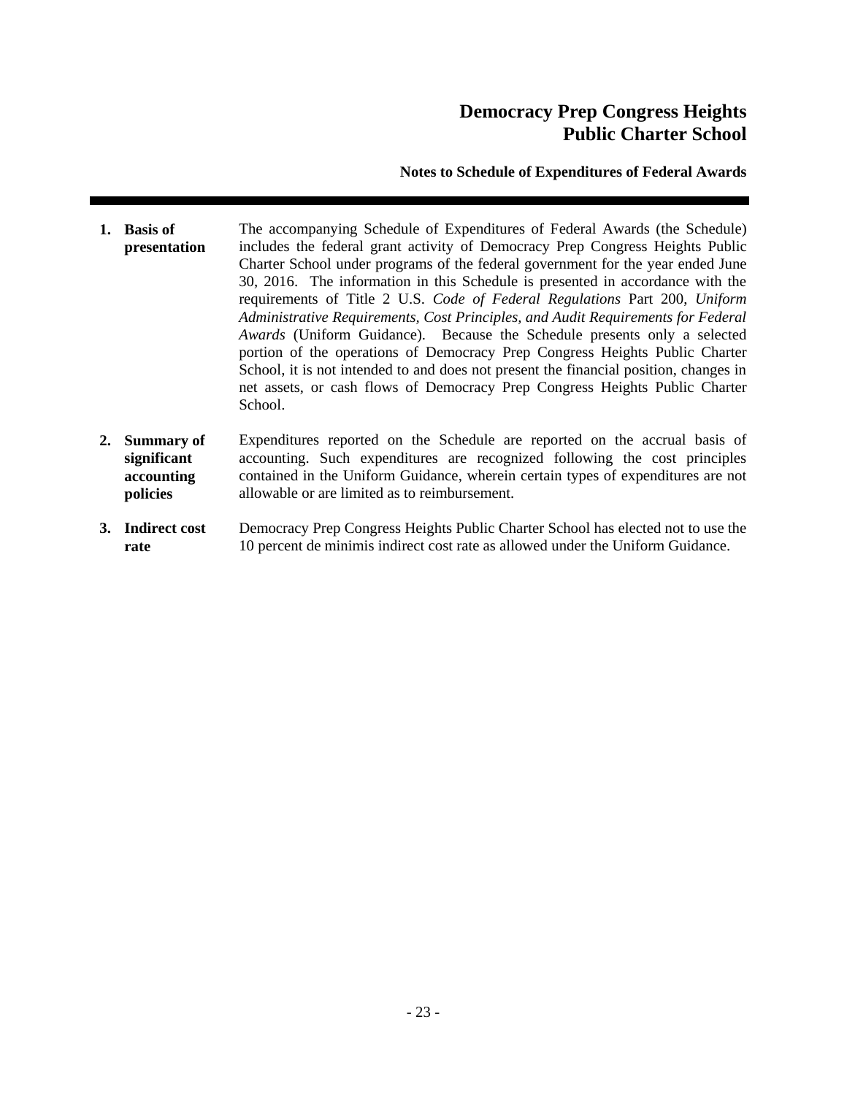## **Notes to Schedule of Expenditures of Federal Awards**

- **1. Basis of presentation** The accompanying Schedule of Expenditures of Federal Awards (the Schedule) includes the federal grant activity of Democracy Prep Congress Heights Public Charter School under programs of the federal government for the year ended June 30, 2016. The information in this Schedule is presented in accordance with the requirements of Title 2 U.S. *Code of Federal Regulations* Part 200, *Uniform Administrative Requirements, Cost Principles, and Audit Requirements for Federal Awards* (Uniform Guidance). Because the Schedule presents only a selected portion of the operations of Democracy Prep Congress Heights Public Charter School, it is not intended to and does not present the financial position, changes in net assets, or cash flows of Democracy Prep Congress Heights Public Charter School.
- **2. Summary of significant accounting policies** Expenditures reported on the Schedule are reported on the accrual basis of accounting. Such expenditures are recognized following the cost principles contained in the Uniform Guidance, wherein certain types of expenditures are not allowable or are limited as to reimbursement.
- **3. Indirect cost rate** Democracy Prep Congress Heights Public Charter School has elected not to use the 10 percent de minimis indirect cost rate as allowed under the Uniform Guidance.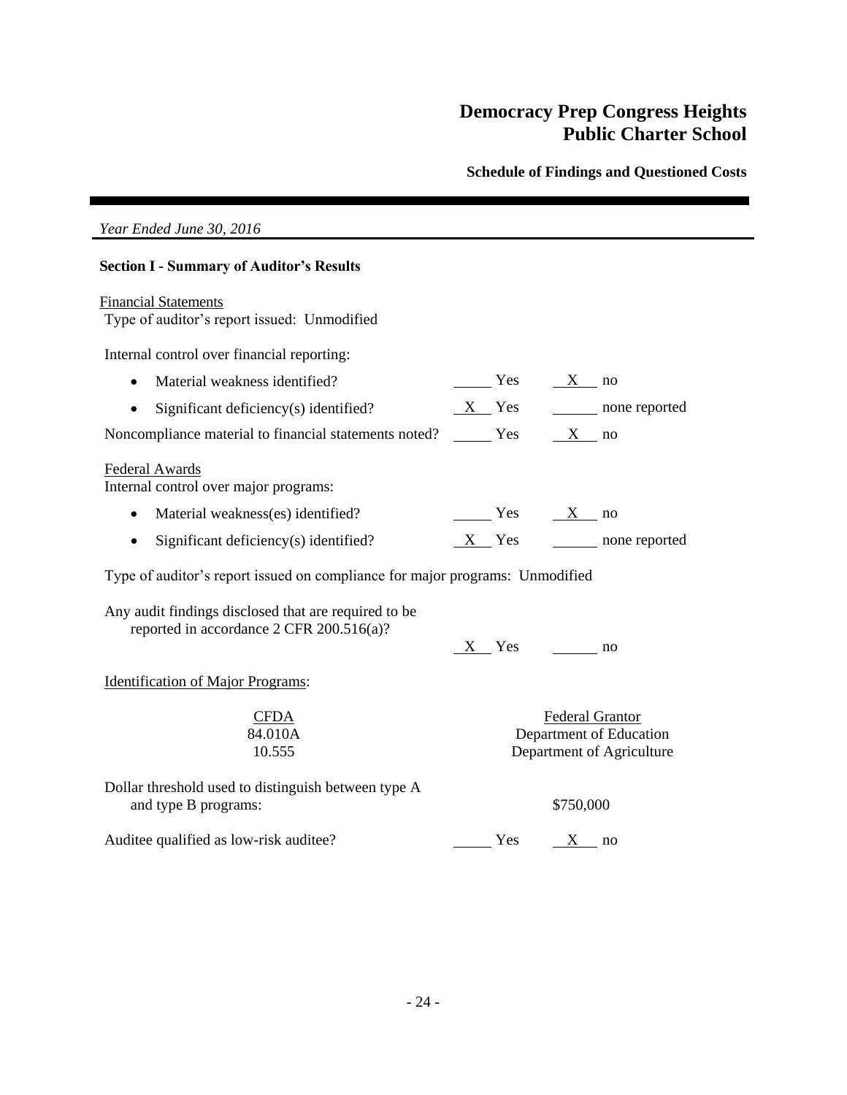**Schedule of Findings and Questioned Costs**

### *Year Ended June 30, 2016*

### **Section I - Summary of Auditor's Results**

#### Financial Statements

Type of auditor's report issued: Unmodified

### Internal control over financial reporting:

| • Material weakness identified?         |   | Yes | no            |
|-----------------------------------------|---|-----|---------------|
| • Significant deficiency(s) identified? | X | Yes | none reported |

Noncompliance material to financial statements noted?  $\frac{\ }{8}$  Yes  $\frac{\ }{8}$  N

### Federal Awards

Internal control over major programs:

- Material weakness(es) identified?  $Y$ es  $X$  no
- Significant deficiency(s) identified?  $X$  Yes none reported

Type of auditor's report issued on compliance for major programs: Unmodified

## Any audit findings disclosed that are required to be reported in accordance 2 CFR 200.516(a)?

X Yes no

### Identification of Major Programs:

| CFDA<br>84.010A<br>10.555                                                   | <b>Federal Grantor</b><br>Department of Education<br>Department of Agriculture |  |  |
|-----------------------------------------------------------------------------|--------------------------------------------------------------------------------|--|--|
| Dollar threshold used to distinguish between type A<br>and type B programs: | \$750,000                                                                      |  |  |
| Auditee qualified as low-risk auditee?                                      | Yes<br>no                                                                      |  |  |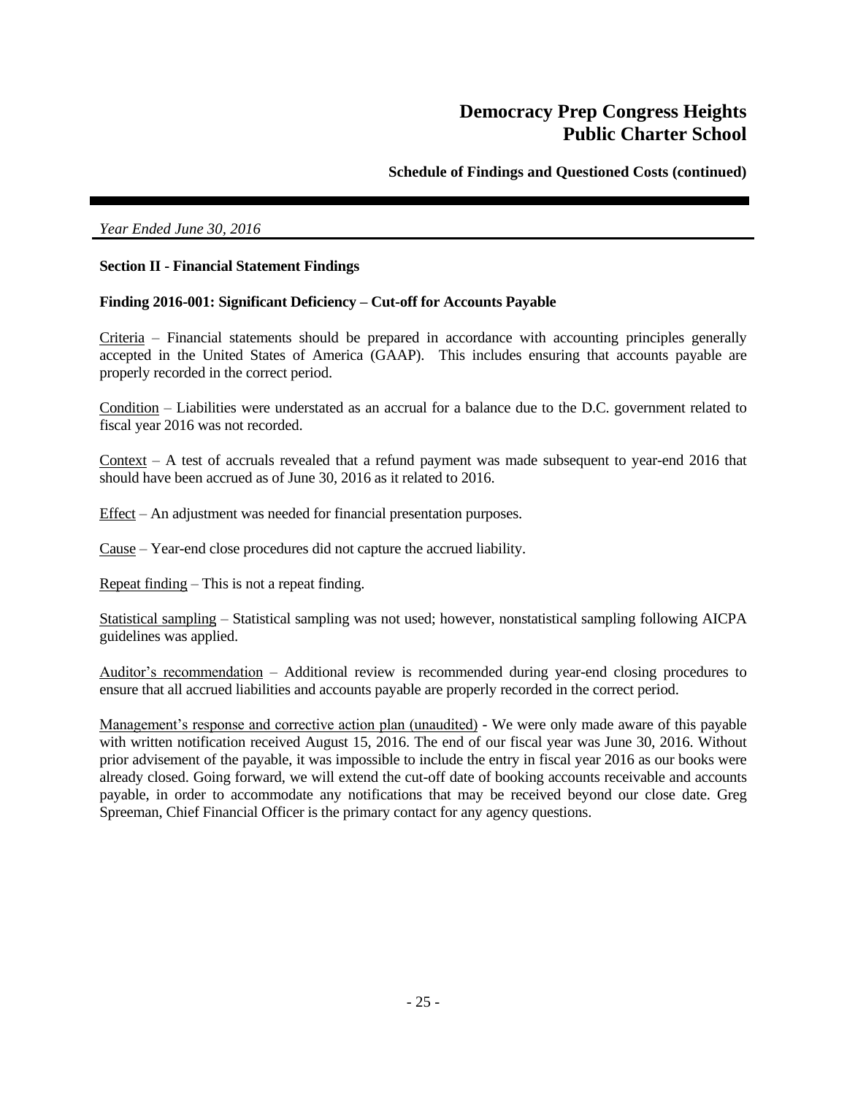## **Schedule of Findings and Questioned Costs (continued)**

## *Year Ended June 30, 2016*

## **Section II - Financial Statement Findings**

### **Finding 2016-001: Significant Deficiency – Cut-off for Accounts Payable**

Criteria – Financial statements should be prepared in accordance with accounting principles generally accepted in the United States of America (GAAP). This includes ensuring that accounts payable are properly recorded in the correct period.

Condition – Liabilities were understated as an accrual for a balance due to the D.C. government related to fiscal year 2016 was not recorded.

Context – A test of accruals revealed that a refund payment was made subsequent to year-end 2016 that should have been accrued as of June 30, 2016 as it related to 2016.

Effect – An adjustment was needed for financial presentation purposes.

Cause – Year-end close procedures did not capture the accrued liability.

Repeat finding – This is not a repeat finding.

Statistical sampling – Statistical sampling was not used; however, nonstatistical sampling following AICPA guidelines was applied.

Auditor's recommendation – Additional review is recommended during year-end closing procedures to ensure that all accrued liabilities and accounts payable are properly recorded in the correct period.

Management's response and corrective action plan (unaudited) - We were only made aware of this payable with written notification received August 15, 2016. The end of our fiscal year was June 30, 2016. Without prior advisement of the payable, it was impossible to include the entry in fiscal year 2016 as our books were already closed. Going forward, we will extend the cut-off date of booking accounts receivable and accounts payable, in order to accommodate any notifications that may be received beyond our close date. Greg Spreeman, Chief Financial Officer is the primary contact for any agency questions.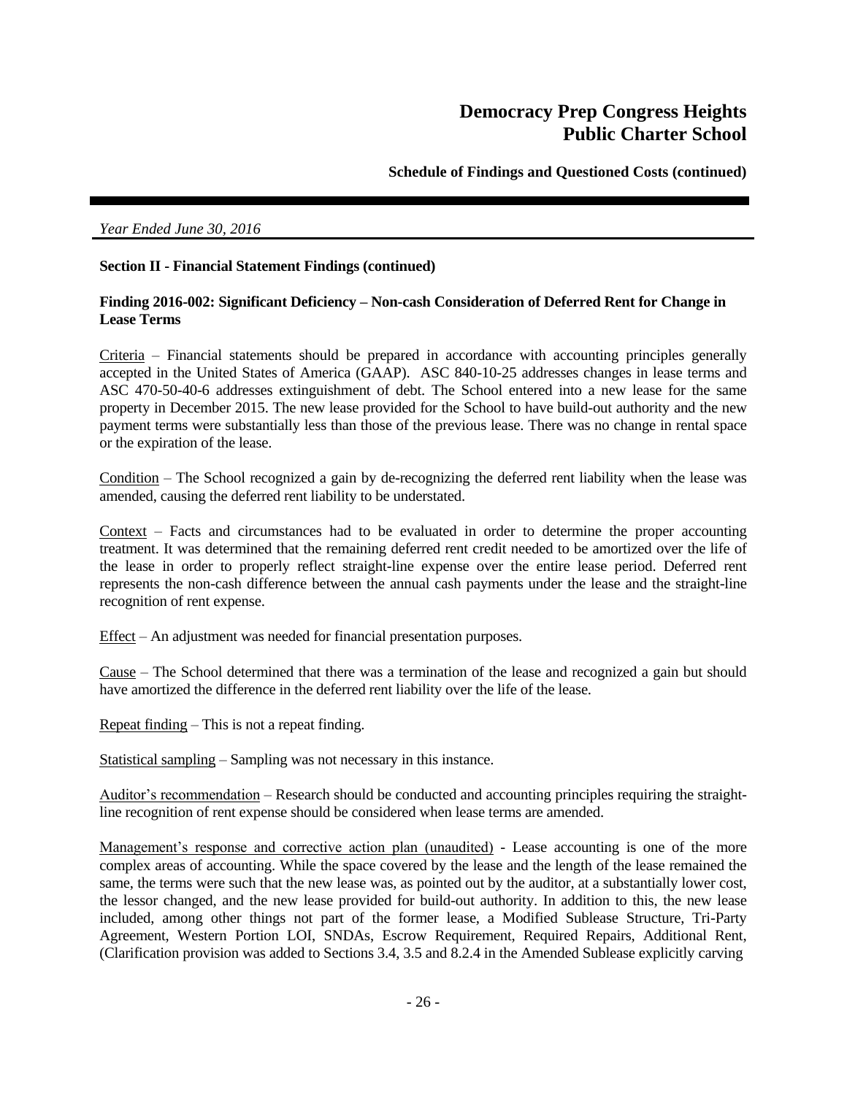## **Schedule of Findings and Questioned Costs (continued)**

### *Year Ended June 30, 2016*

### **Section II - Financial Statement Findings (continued)**

#### **Finding 2016-002: Significant Deficiency – Non-cash Consideration of Deferred Rent for Change in Lease Terms**

Criteria – Financial statements should be prepared in accordance with accounting principles generally accepted in the United States of America (GAAP). ASC 840-10-25 addresses changes in lease terms and ASC 470-50-40-6 addresses extinguishment of debt. The School entered into a new lease for the same property in December 2015. The new lease provided for the School to have build-out authority and the new payment terms were substantially less than those of the previous lease. There was no change in rental space or the expiration of the lease.

Condition – The School recognized a gain by de-recognizing the deferred rent liability when the lease was amended, causing the deferred rent liability to be understated.

Context – Facts and circumstances had to be evaluated in order to determine the proper accounting treatment. It was determined that the remaining deferred rent credit needed to be amortized over the life of the lease in order to properly reflect straight-line expense over the entire lease period. Deferred rent represents the non-cash difference between the annual cash payments under the lease and the straight-line recognition of rent expense.

Effect – An adjustment was needed for financial presentation purposes.

Cause – The School determined that there was a termination of the lease and recognized a gain but should have amortized the difference in the deferred rent liability over the life of the lease.

Repeat finding – This is not a repeat finding.

Statistical sampling – Sampling was not necessary in this instance.

Auditor's recommendation – Research should be conducted and accounting principles requiring the straightline recognition of rent expense should be considered when lease terms are amended.

Management's response and corrective action plan (unaudited) - Lease accounting is one of the more complex areas of accounting. While the space covered by the lease and the length of the lease remained the same, the terms were such that the new lease was, as pointed out by the auditor, at a substantially lower cost, the lessor changed, and the new lease provided for build-out authority. In addition to this, the new lease included, among other things not part of the former lease, a Modified Sublease Structure, Tri-Party Agreement, Western Portion LOI, SNDAs, Escrow Requirement, Required Repairs, Additional Rent, (Clarification provision was added to Sections 3.4, 3.5 and 8.2.4 in the Amended Sublease explicitly carving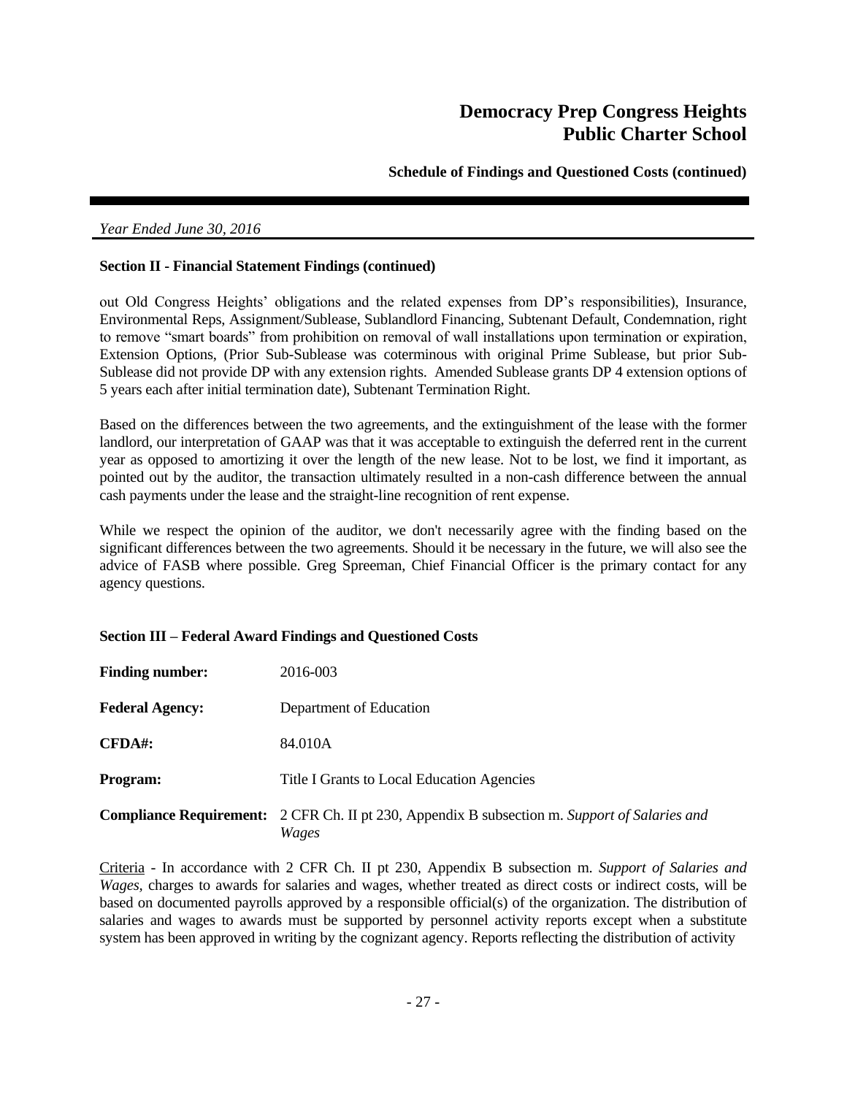## **Schedule of Findings and Questioned Costs (continued)**

## *Year Ended June 30, 2016*

### **Section II - Financial Statement Findings (continued)**

out Old Congress Heights' obligations and the related expenses from DP's responsibilities), Insurance, Environmental Reps, Assignment/Sublease, Sublandlord Financing, Subtenant Default, Condemnation, right to remove "smart boards" from prohibition on removal of wall installations upon termination or expiration, Extension Options, (Prior Sub-Sublease was coterminous with original Prime Sublease, but prior Sub-Sublease did not provide DP with any extension rights. Amended Sublease grants DP 4 extension options of 5 years each after initial termination date), Subtenant Termination Right.

Based on the differences between the two agreements, and the extinguishment of the lease with the former landlord, our interpretation of GAAP was that it was acceptable to extinguish the deferred rent in the current year as opposed to amortizing it over the length of the new lease. Not to be lost, we find it important, as pointed out by the auditor, the transaction ultimately resulted in a non-cash difference between the annual cash payments under the lease and the straight-line recognition of rent expense.

While we respect the opinion of the auditor, we don't necessarily agree with the finding based on the significant differences between the two agreements. Should it be necessary in the future, we will also see the advice of FASB where possible. Greg Spreeman, Chief Financial Officer is the primary contact for any agency questions.

### **Section III – Federal Award Findings and Questioned Costs**

| <b>Finding number:</b> | 2016-003                                                                                                      |  |  |  |  |
|------------------------|---------------------------------------------------------------------------------------------------------------|--|--|--|--|
| <b>Federal Agency:</b> | Department of Education                                                                                       |  |  |  |  |
| <b>CFDA#:</b>          | 84.010A                                                                                                       |  |  |  |  |
| <b>Program:</b>        | <b>Title I Grants to Local Education Agencies</b>                                                             |  |  |  |  |
|                        | <b>Compliance Requirement:</b> 2 CFR Ch. II pt 230, Appendix B subsection m. Support of Salaries and<br>Wages |  |  |  |  |

Criteria - In accordance with 2 CFR Ch. II pt 230, Appendix B subsection m. *Support of Salaries and Wages,* charges to awards for salaries and wages, whether treated as direct costs or indirect costs, will be based on documented payrolls approved by a responsible official(s) of the organization. The distribution of salaries and wages to awards must be supported by personnel activity reports except when a substitute system has been approved in writing by the cognizant agency. Reports reflecting the distribution of activity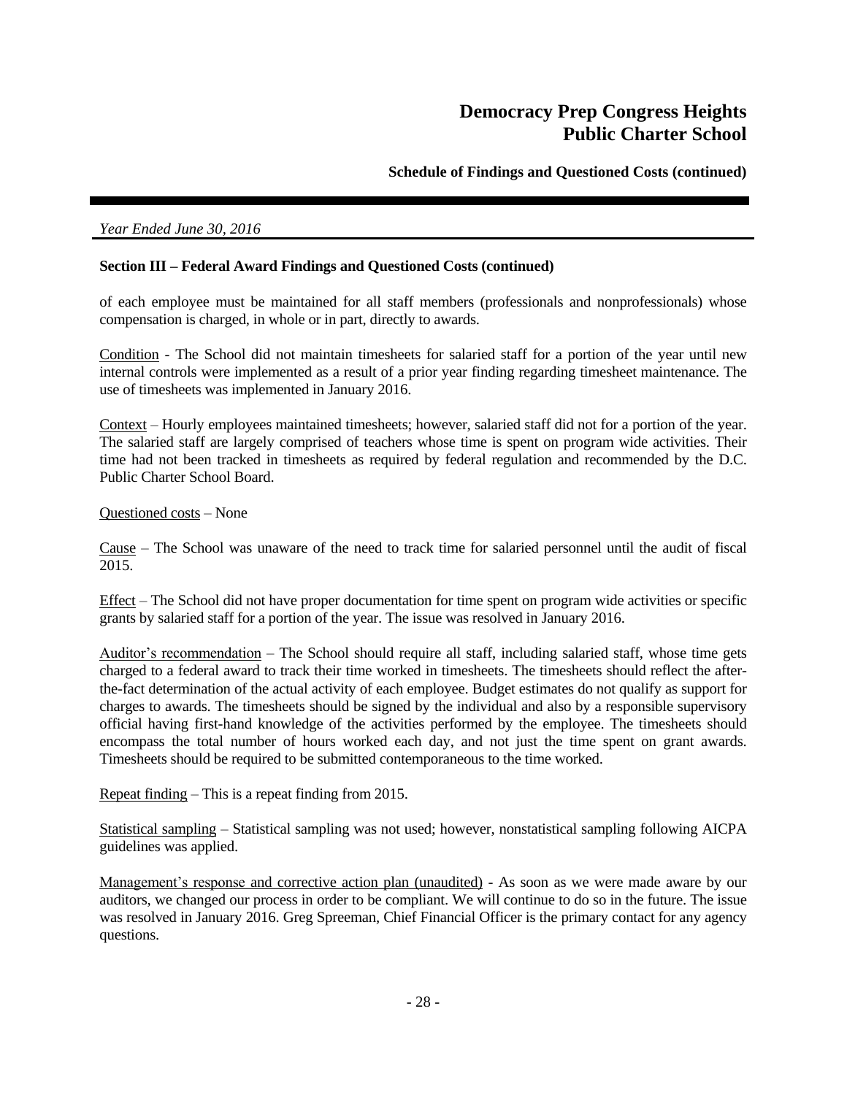## **Schedule of Findings and Questioned Costs (continued)**

## *Year Ended June 30, 2016*

### **Section III – Federal Award Findings and Questioned Costs (continued)**

of each employee must be maintained for all staff members (professionals and nonprofessionals) whose compensation is charged, in whole or in part, directly to awards.

Condition - The School did not maintain timesheets for salaried staff for a portion of the year until new internal controls were implemented as a result of a prior year finding regarding timesheet maintenance. The use of timesheets was implemented in January 2016.

Context – Hourly employees maintained timesheets; however, salaried staff did not for a portion of the year. The salaried staff are largely comprised of teachers whose time is spent on program wide activities. Their time had not been tracked in timesheets as required by federal regulation and recommended by the D.C. Public Charter School Board.

#### Questioned costs – None

Cause – The School was unaware of the need to track time for salaried personnel until the audit of fiscal 2015.

Effect – The School did not have proper documentation for time spent on program wide activities or specific grants by salaried staff for a portion of the year. The issue was resolved in January 2016.

Auditor's recommendation – The School should require all staff, including salaried staff, whose time gets charged to a federal award to track their time worked in timesheets. The timesheets should reflect the afterthe-fact determination of the actual activity of each employee. Budget estimates do not qualify as support for charges to awards. The timesheets should be signed by the individual and also by a responsible supervisory official having first-hand knowledge of the activities performed by the employee. The timesheets should encompass the total number of hours worked each day, and not just the time spent on grant awards. Timesheets should be required to be submitted contemporaneous to the time worked.

### Repeat finding – This is a repeat finding from 2015.

Statistical sampling – Statistical sampling was not used; however, nonstatistical sampling following AICPA guidelines was applied.

Management's response and corrective action plan (unaudited) - As soon as we were made aware by our auditors, we changed our process in order to be compliant. We will continue to do so in the future. The issue was resolved in January 2016. Greg Spreeman, Chief Financial Officer is the primary contact for any agency questions.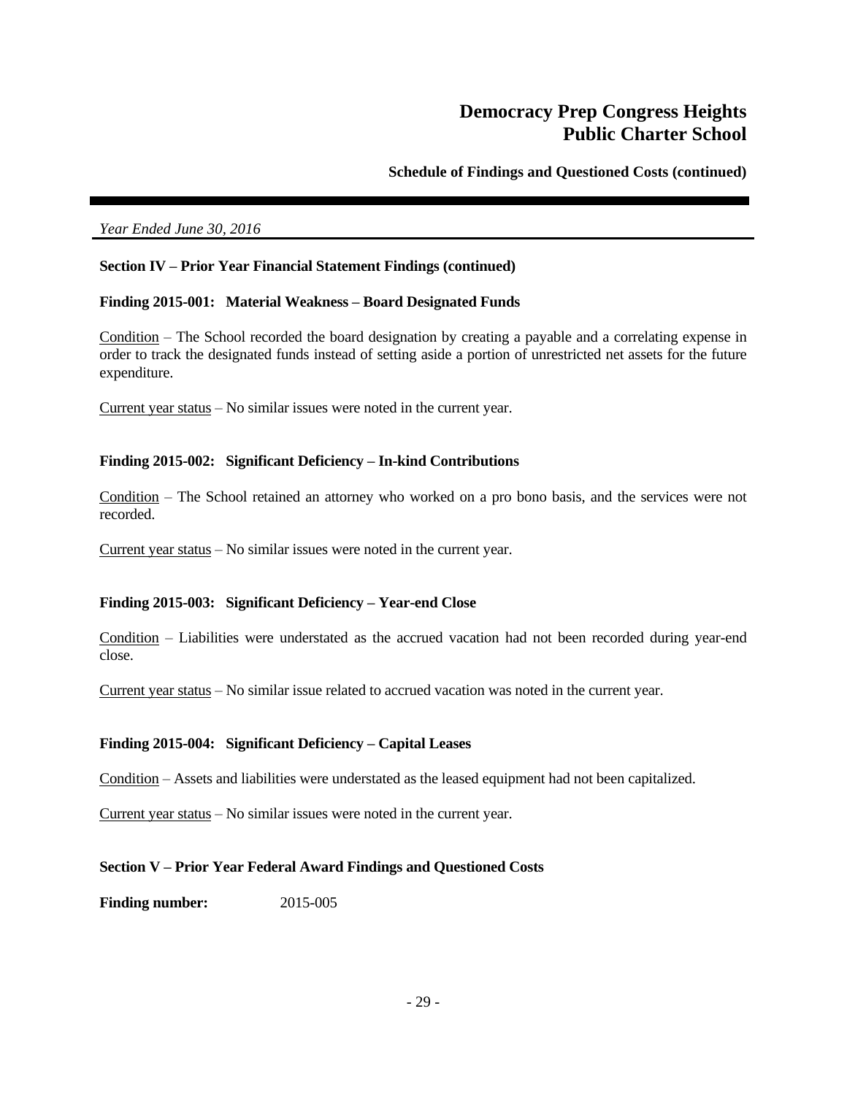## **Schedule of Findings and Questioned Costs (continued)**

### *Year Ended June 30, 2016*

#### **Section IV – Prior Year Financial Statement Findings (continued)**

#### **Finding 2015-001: Material Weakness – Board Designated Funds**

Condition – The School recorded the board designation by creating a payable and a correlating expense in order to track the designated funds instead of setting aside a portion of unrestricted net assets for the future expenditure.

Current year status – No similar issues were noted in the current year.

#### **Finding 2015-002: Significant Deficiency – In-kind Contributions**

Condition – The School retained an attorney who worked on a pro bono basis, and the services were not recorded.

Current year status – No similar issues were noted in the current year.

### **Finding 2015-003: Significant Deficiency – Year-end Close**

Condition – Liabilities were understated as the accrued vacation had not been recorded during year-end close.

Current year status – No similar issue related to accrued vacation was noted in the current year.

#### **Finding 2015-004: Significant Deficiency – Capital Leases**

Condition – Assets and liabilities were understated as the leased equipment had not been capitalized.

Current year status – No similar issues were noted in the current year.

### **Section V – Prior Year Federal Award Findings and Questioned Costs**

**Finding number:** 2015-005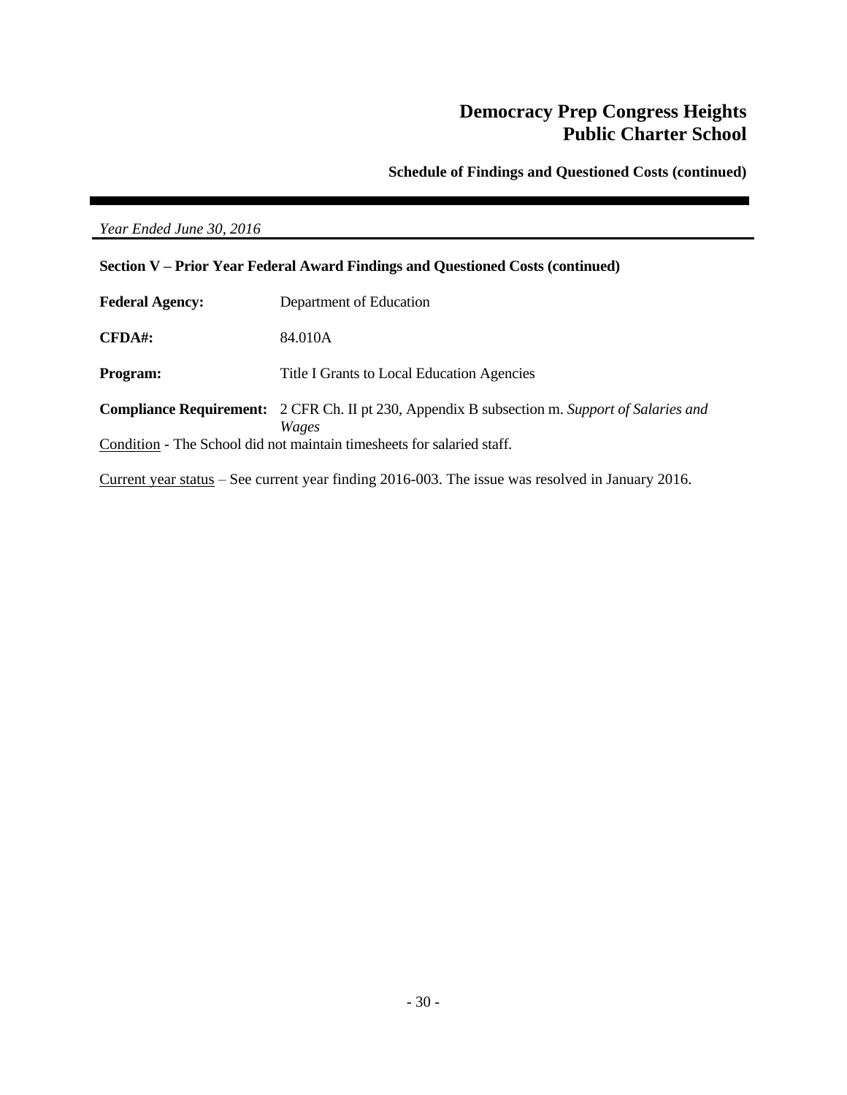**Schedule of Findings and Questioned Costs (continued)**

*Year Ended June 30, 2016*

## **Section V – Prior Year Federal Award Findings and Questioned Costs (continued)**

| <b>Federal Agency:</b> | Department of Education                                                                                       |
|------------------------|---------------------------------------------------------------------------------------------------------------|
| <b>CFDA#:</b>          | 84.010A                                                                                                       |
| <b>Program:</b>        | Title I Grants to Local Education Agencies                                                                    |
|                        | <b>Compliance Requirement:</b> 2 CFR Ch. II pt 230, Appendix B subsection m. Support of Salaries and<br>Wages |
|                        | Condition - The School did not maintain timesheets for salaried staff.                                        |

Current year status – See current year finding 2016-003. The issue was resolved in January 2016.